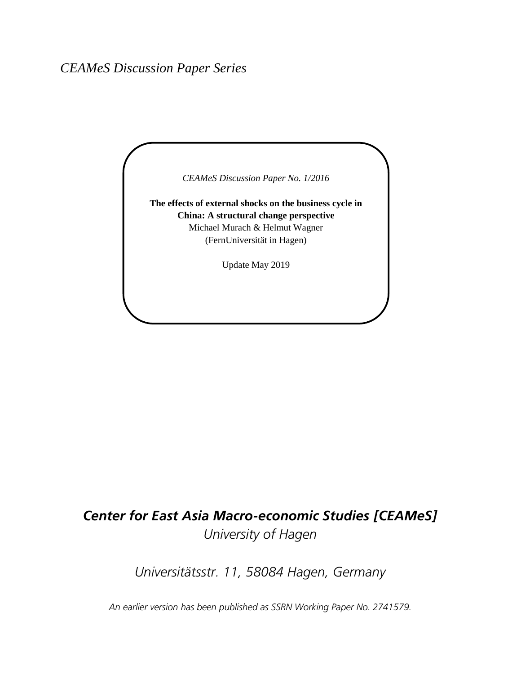# *CEAMeS Discussion Paper Series*



# *Center for East Asia Macro-economic Studies [CEAMeS] University of Hagen*

*Universitätsstr. 11, 58084 Hagen, Germany*

*An earlier version has been published as SSRN Working Paper No. 2741579.*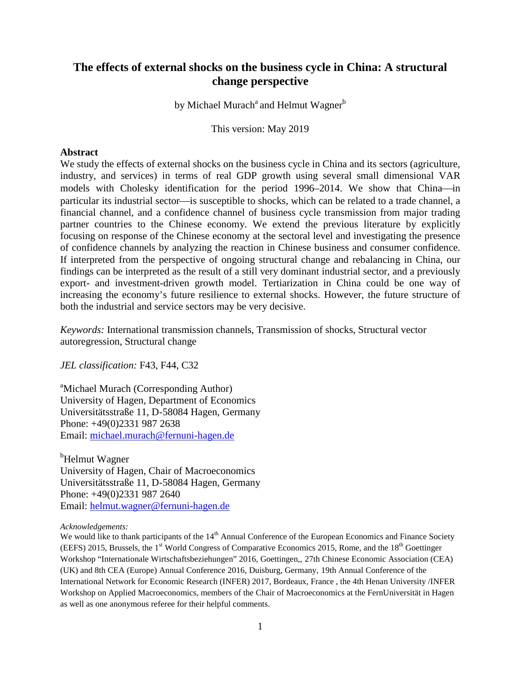# **The effects of external shocks on the business cycle in China: A structural change perspective**

by Michael Murach<sup>a</sup> and Helmut Wagner<sup>b</sup>

This version: May 2019

# **Abstract**

We study the effects of external shocks on the business cycle in China and its sectors (agriculture, industry, and services) in terms of real GDP growth using several small dimensional VAR models with Cholesky identification for the period  $1996-2014$ . We show that China-in particular its industrial sector—is susceptible to shocks, which can be related to a trade channel, a financial channel, and a confidence channel of business cycle transmission from major trading partner countries to the Chinese economy. We extend the previous literature by explicitly focusing on response of the Chinese economy at the sectoral level and investigating the presence of confidence channels by analyzing the reaction in Chinese business and consumer confidence. If interpreted from the perspective of ongoing structural change and rebalancing in China, our findings can be interpreted as the result of a still very dominant industrial sector, and a previously export- and investment-driven growth model. Tertiarization in China could be one way of increasing the economy's future resilience to external shocks. However, the future structure of both the industrial and service sectors may be very decisive.

*Keywords:* International transmission channels, Transmission of shocks, Structural vector autoregression, Structural change

*JEL classification:* F43, F44, C32

<sup>a</sup>Michael Murach (Corresponding Author) University of Hagen, Department of Economics Universitätsstraße 11, D-58084 Hagen, Germany Phone: +49(0)2331 987 2638 Email: [michael.murach@fernuni-hagen.de](mailto:michael.murach@fernuni-hagen.de)

<sup>b</sup>Helmut Wagner University of Hagen, Chair of Macroeconomics Universitätsstraße 11, D-58084 Hagen, Germany Phone: +49(0)2331 987 2640 Email: [helmut.wagner@fernuni-hagen.de](mailto:helmut.wagner@fernuni-hagen.de)

*Acknowledgements:*

We would like to thank participants of the 14<sup>th</sup> Annual Conference of the European Economics and Finance Society (EEFS) 2015, Brussels, the 1<sup>st</sup> World Congress of Comparative Economics 2015, Rome, and the 18<sup>th</sup> Goettinger Workshop "Internationale Wirtschaftsbeziehungen" 2016, Goettingen,, 27th Chinese Economic Association (CEA) (UK) and 8th CEA (Europe) Annual Conference 2016, Duisburg, Germany, 19th Annual Conference of the International Network for Economic Research (INFER) 2017, Bordeaux, France , the 4th Henan University /INFER Workshop on Applied Macroeconomics, members of the Chair of Macroeconomics at the FernUniversität in Hagen as well as one anonymous referee for their helpful comments.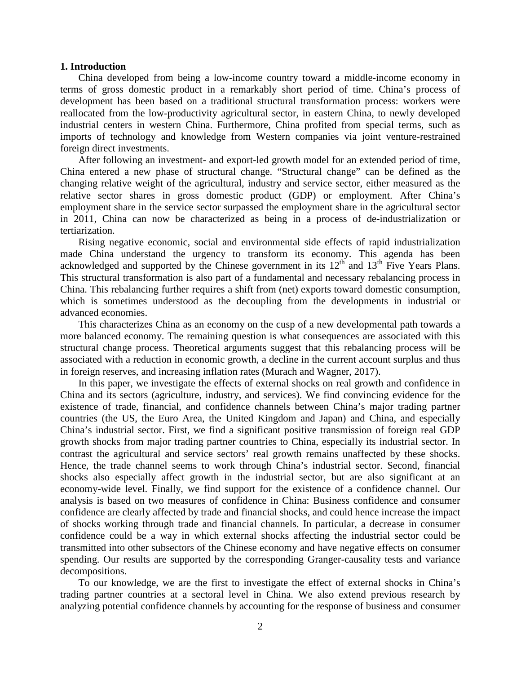# **1. Introduction**

China developed from being a low-income country toward a middle-income economy in terms of gross domestic product in a remarkably short period of time. China's process of development has been based on a traditional structural transformation process: workers were reallocated from the low-productivity agricultural sector, in eastern China, to newly developed industrial centers in western China. Furthermore, China profited from special terms, such as imports of technology and knowledge from Western companies via joint venture-restrained foreign direct investments.

After following an investment- and export-led growth model for an extended period of time, China entered a new phase of structural change. "Structural change" can be defined as the changing relative weight of the agricultural, industry and service sector, either measured as the relative sector shares in gross domestic product (GDP) or employment. After China's employment share in the service sector surpassed the employment share in the agricultural sector in 2011, China can now be characterized as being in a process of de-industrialization or tertiarization.

Rising negative economic, social and environmental side effects of rapid industrialization made China understand the urgency to transform its economy. This agenda has been acknowledged and supported by the Chinese government in its  $12<sup>th</sup>$  and  $13<sup>th</sup>$  Five Years Plans. This structural transformation is also part of a fundamental and necessary rebalancing process in China. This rebalancing further requires a shift from (net) exports toward domestic consumption, which is sometimes understood as the decoupling from the developments in industrial or advanced economies.

This characterizes China as an economy on the cusp of a new developmental path towards a more balanced economy. The remaining question is what consequences are associated with this structural change process. Theoretical arguments suggest that this rebalancing process will be associated with a reduction in economic growth, a decline in the current account surplus and thus in foreign reserves, and increasing inflation rates (Murach and Wagner, 2017).

In this paper, we investigate the effects of external shocks on real growth and confidence in China and its sectors (agriculture, industry, and services). We find convincing evidence for the existence of trade, financial, and confidence channels between China's major trading partner countries (the US, the Euro Area, the United Kingdom and Japan) and China, and especially China's industrial sector. First, we find a significant positive transmission of foreign real GDP growth shocks from major trading partner countries to China, especially its industrial sector. In contrast the agricultural and service sectors' real growth remains unaffected by these shocks. Hence, the trade channel seems to work through China's industrial sector. Second, financial shocks also especially affect growth in the industrial sector, but are also significant at an economy-wide level. Finally, we find support for the existence of a confidence channel. Our analysis is based on two measures of confidence in China: Business confidence and consumer confidence are clearly affected by trade and financial shocks, and could hence increase the impact of shocks working through trade and financial channels. In particular, a decrease in consumer confidence could be a way in which external shocks affecting the industrial sector could be transmitted into other subsectors of the Chinese economy and have negative effects on consumer spending. Our results are supported by the corresponding Granger-causality tests and variance decompositions.

To our knowledge, we are the first to investigate the effect of external shocks in China's trading partner countries at a sectoral level in China. We also extend previous research by analyzing potential confidence channels by accounting for the response of business and consumer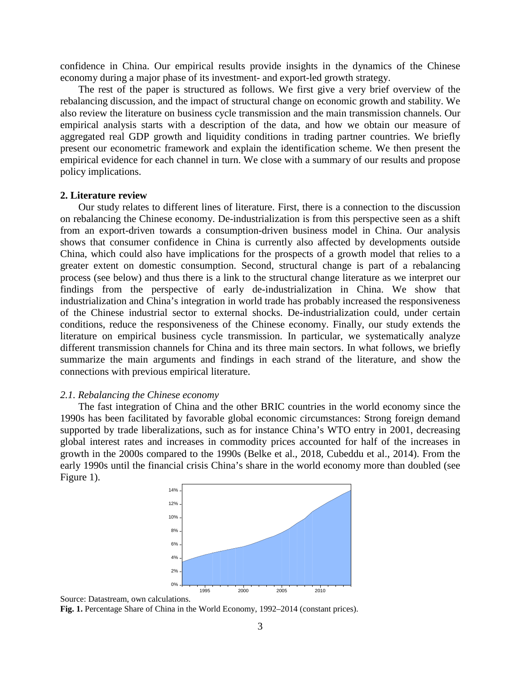confidence in China. Our empirical results provide insights in the dynamics of the Chinese economy during a major phase of its investment- and export-led growth strategy.

The rest of the paper is structured as follows. We first give a very brief overview of the rebalancing discussion, and the impact of structural change on economic growth and stability. We also review the literature on business cycle transmission and the main transmission channels. Our empirical analysis starts with a description of the data, and how we obtain our measure of aggregated real GDP growth and liquidity conditions in trading partner countries. We briefly present our econometric framework and explain the identification scheme. We then present the empirical evidence for each channel in turn. We close with a summary of our results and propose policy implications.

# **2. Literature review**

Our study relates to different lines of literature. First, there is a connection to the discussion on rebalancing the Chinese economy. De-industrialization is from this perspective seen as a shift from an export-driven towards a consumption-driven business model in China. Our analysis shows that consumer confidence in China is currently also affected by developments outside China, which could also have implications for the prospects of a growth model that relies to a greater extent on domestic consumption. Second, structural change is part of a rebalancing process (see below) and thus there is a link to the structural change literature as we interpret our findings from the perspective of early de-industrialization in China. We show that industrialization and China's integration in world trade has probably increased the responsiveness of the Chinese industrial sector to external shocks. De-industrialization could, under certain conditions, reduce the responsiveness of the Chinese economy. Finally, our study extends the literature on empirical business cycle transmission. In particular, we systematically analyze different transmission channels for China and its three main sectors. In what follows, we briefly summarize the main arguments and findings in each strand of the literature, and show the connections with previous empirical literature.

# *2.1. Rebalancing the Chinese economy*

The fast integration of China and the other BRIC countries in the world economy since the 1990s has been facilitated by favorable global economic circumstances: Strong foreign demand supported by trade liberalizations, such as for instance China's WTO entry in 2001, decreasing global interest rates and increases in commodity prices accounted for half of the increases in growth in the 2000s compared to the 1990s (Belke et al., 2018, Cubeddu et al., 2014). From the early 1990s until the financial crisis China's share in the world economy more than doubled (see Figure 1).



Source: Datastream, own calculations.

**Fig. 1.** Percentage Share of China in the World Economy, 1992–2014 (constant prices).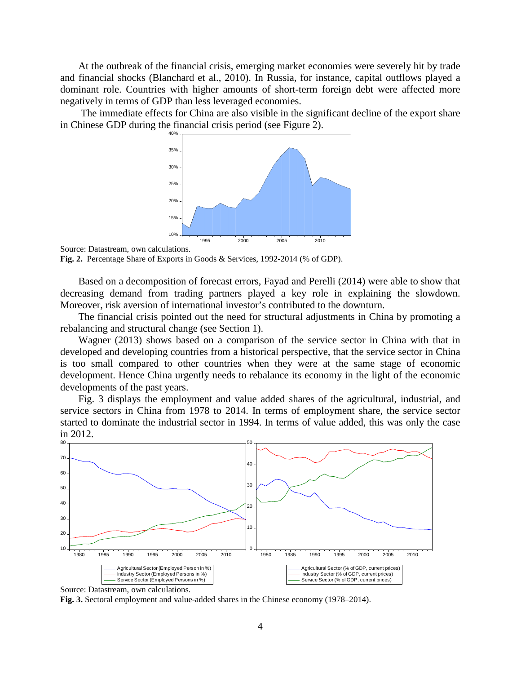At the outbreak of the financial crisis, emerging market economies were severely hit by trade and financial shocks (Blanchard et al., 2010). In Russia, for instance, capital outflows played a dominant role. Countries with higher amounts of short-term foreign debt were affected more negatively in terms of GDP than less leveraged economies.

The immediate effects for China are also visible in the significant decline of the export share in Chinese GDP during the financial crisis period (see Figure 2).



Source: Datastream, own calculations.

**Fig. 2.** Percentage Share of Exports in Goods & Services, 1992-2014 (% of GDP).

Based on a decomposition of forecast errors, Fayad and Perelli (2014) were able to show that decreasing demand from trading partners played a key role in explaining the slowdown. Moreover, risk aversion of international investor's contributed to the downturn.

The financial crisis pointed out the need for structural adjustments in China by promoting a rebalancing and structural change (see Section 1).

Wagner (2013) shows based on a comparison of the service sector in China with that in developed and developing countries from a historical perspective, that the service sector in China is too small compared to other countries when they were at the same stage of economic development. Hence China urgently needs to rebalance its economy in the light of the economic developments of the past years.

Fig. 3 displays the employment and value added shares of the agricultural, industrial, and service sectors in China from 1978 to 2014. In terms of employment share, the service sector started to dominate the industrial sector in 1994. In terms of value added, this was only the case in 2012.



Source: Datastream, own calculations.

**Fig. 3.** Sectoral employment and value-added shares in the Chinese economy (1978–2014).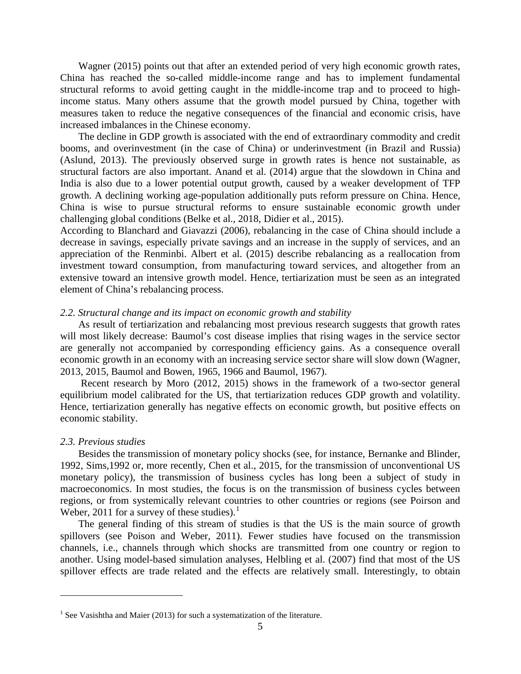Wagner (2015) points out that after an extended period of very high economic growth rates, China has reached the so-called middle-income range and has to implement fundamental structural reforms to avoid getting caught in the middle-income trap and to proceed to highincome status. Many others assume that the growth model pursued by China, together with measures taken to reduce the negative consequences of the financial and economic crisis, have increased imbalances in the Chinese economy.

The decline in GDP growth is associated with the end of extraordinary commodity and credit booms, and overinvestment (in the case of China) or underinvestment (in Brazil and Russia) (Aslund, 2013). The previously observed surge in growth rates is hence not sustainable, as structural factors are also important. Anand et al. (2014) argue that the slowdown in China and India is also due to a lower potential output growth, caused by a weaker development of TFP growth. A declining working age-population additionally puts reform pressure on China. Hence, China is wise to pursue structural reforms to ensure sustainable economic growth under challenging global conditions (Belke et al., 2018, Didier et al., 2015).

According to Blanchard and Giavazzi (2006), rebalancing in the case of China should include a decrease in savings, especially private savings and an increase in the supply of services, and an appreciation of the Renminbi. Albert et al. (2015) describe rebalancing as a reallocation from investment toward consumption, from manufacturing toward services, and altogether from an extensive toward an intensive growth model. Hence, tertiarization must be seen as an integrated element of China's rebalancing process.

### *2.2. Structural change and its impact on economic growth and stability*

As result of tertiarization and rebalancing most previous research suggests that growth rates will most likely decrease: Baumol's cost disease implies that rising wages in the service sector are generally not accompanied by corresponding efficiency gains. As a consequence overall economic growth in an economy with an increasing service sector share will slow down (Wagner, 2013, 2015, Baumol and Bowen, 1965, 1966 and Baumol, 1967).

Recent research by Moro (2012, 2015) shows in the framework of a two-sector general equilibrium model calibrated for the US, that tertiarization reduces GDP growth and volatility. Hence, tertiarization generally has negative effects on economic growth, but positive effects on economic stability.

#### *2.3. Previous studies*

 $\overline{a}$ 

Besides the transmission of monetary policy shocks (see, for instance, Bernanke and Blinder, 1992, Sims,1992 or, more recently, Chen et al., 2015, for the transmission of unconventional US monetary policy), the transmission of business cycles has long been a subject of study in macroeconomics. In most studies, the focus is on the transmission of business cycles between regions, or from systemically relevant countries to other countries or regions (see Poirson and Weber, 20[1](#page-5-0)1 for a survey of these studies).<sup>1</sup>

The general finding of this stream of studies is that the US is the main source of growth spillovers (see Poison and Weber, 2011). Fewer studies have focused on the transmission channels, i.e., channels through which shocks are transmitted from one country or region to another. Using model-based simulation analyses, Helbling et al. (2007) find that most of the US spillover effects are trade related and the effects are relatively small. Interestingly, to obtain

<span id="page-5-0"></span> $1$  See Vasishtha and Maier (2013) for such a systematization of the literature.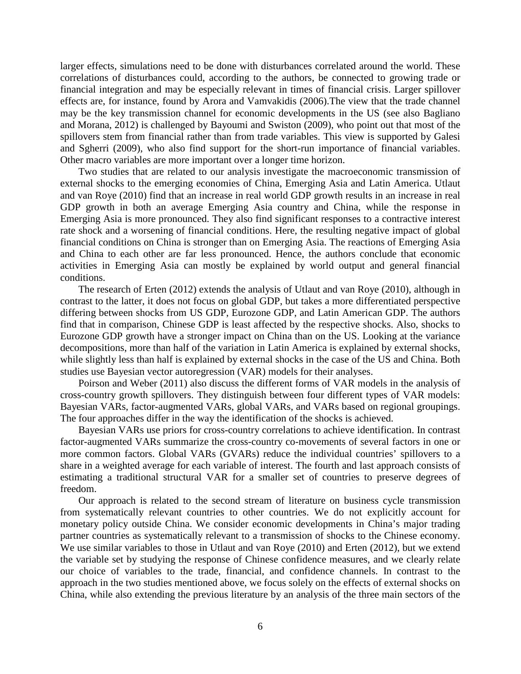larger effects, simulations need to be done with disturbances correlated around the world. These correlations of disturbances could, according to the authors, be connected to growing trade or financial integration and may be especially relevant in times of financial crisis. Larger spillover effects are, for instance, found by Arora and Vamvakidis (2006).The view that the trade channel may be the key transmission channel for economic developments in the US (see also Bagliano and Morana, 2012) is challenged by Bayoumi and Swiston (2009), who point out that most of the spillovers stem from financial rather than from trade variables. This view is supported by Galesi and Sgherri (2009), who also find support for the short-run importance of financial variables. Other macro variables are more important over a longer time horizon.

Two studies that are related to our analysis investigate the macroeconomic transmission of external shocks to the emerging economies of China, Emerging Asia and Latin America. Utlaut and van Roye (2010) find that an increase in real world GDP growth results in an increase in real GDP growth in both an average Emerging Asia country and China, while the response in Emerging Asia is more pronounced. They also find significant responses to a contractive interest rate shock and a worsening of financial conditions. Here, the resulting negative impact of global financial conditions on China is stronger than on Emerging Asia. The reactions of Emerging Asia and China to each other are far less pronounced. Hence, the authors conclude that economic activities in Emerging Asia can mostly be explained by world output and general financial conditions.

The research of Erten (2012) extends the analysis of Utlaut and van Roye (2010), although in contrast to the latter, it does not focus on global GDP, but takes a more differentiated perspective differing between shocks from US GDP, Eurozone GDP, and Latin American GDP. The authors find that in comparison, Chinese GDP is least affected by the respective shocks. Also, shocks to Eurozone GDP growth have a stronger impact on China than on the US. Looking at the variance decompositions, more than half of the variation in Latin America is explained by external shocks, while slightly less than half is explained by external shocks in the case of the US and China. Both studies use Bayesian vector autoregression (VAR) models for their analyses.

Poirson and Weber (2011) also discuss the different forms of VAR models in the analysis of cross-country growth spillovers. They distinguish between four different types of VAR models: Bayesian VARs, factor-augmented VARs, global VARs, and VARs based on regional groupings. The four approaches differ in the way the identification of the shocks is achieved.

Bayesian VARs use priors for cross-country correlations to achieve identification. In contrast factor-augmented VARs summarize the cross-country co-movements of several factors in one or more common factors. Global VARs (GVARs) reduce the individual countries' spillovers to a share in a weighted average for each variable of interest. The fourth and last approach consists of estimating a traditional structural VAR for a smaller set of countries to preserve degrees of freedom.

Our approach is related to the second stream of literature on business cycle transmission from systematically relevant countries to other countries. We do not explicitly account for monetary policy outside China. We consider economic developments in China's major trading partner countries as systematically relevant to a transmission of shocks to the Chinese economy. We use similar variables to those in Utlaut and van Roye (2010) and Erten (2012), but we extend the variable set by studying the response of Chinese confidence measures, and we clearly relate our choice of variables to the trade, financial, and confidence channels. In contrast to the approach in the two studies mentioned above, we focus solely on the effects of external shocks on China, while also extending the previous literature by an analysis of the three main sectors of the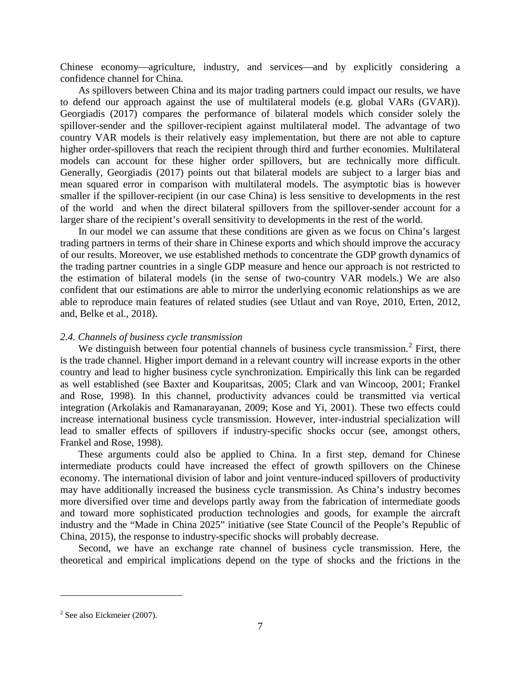Chinese economy—agriculture, industry, and services—and by explicitly considering a confidence channel for China.

As spillovers between China and its major trading partners could impact our results, we have to defend our approach against the use of multilateral models (e.g. global VARs (GVAR)). Georgiadis (2017) compares the performance of bilateral models which consider solely the spillover-sender and the spillover-recipient against multilateral model. The advantage of two country VAR models is their relatively easy implementation, but there are not able to capture higher order-spillovers that reach the recipient through third and further economies. Multilateral models can account for these higher order spillovers, but are technically more difficult. Generally, Georgiadis (2017) points out that bilateral models are subject to a larger bias and mean squared error in comparison with multilateral models. The asymptotic bias is however smaller if the spillover-recipient (in our case China) is less sensitive to developments in the rest of the world and when the direct bilateral spillovers from the spillover-sender account for a larger share of the recipient's overall sensitivity to developments in the rest of the world.

In our model we can assume that these conditions are given as we focus on China's largest trading partners in terms of their share in Chinese exports and which should improve the accuracy of our results. Moreover, we use established methods to concentrate the GDP growth dynamics of the trading partner countries in a single GDP measure and hence our approach is not restricted to the estimation of bilateral models (in the sense of two-country VAR models.) We are also confident that our estimations are able to mirror the underlying economic relationships as we are able to reproduce main features of related studies (see Utlaut and van Roye, 2010, Erten, 2012, and, Belke et al., 2018).

# *2.4. Channels of business cycle transmission*

We distinguish between four potential channels of business cycle transmission.<sup>[2](#page-7-0)</sup> First, there is the trade channel. Higher import demand in a relevant country will increase exports in the other country and lead to higher business cycle synchronization. Empirically this link can be regarded as well established (see Baxter and Kouparitsas, 2005; Clark and van Wincoop, 2001; Frankel and Rose, 1998). In this channel, productivity advances could be transmitted via vertical integration (Arkolakis and Ramanarayanan, 2009; Kose and Yi, 2001). These two effects could increase international business cycle transmission. However, inter-industrial specialization will lead to smaller effects of spillovers if industry-specific shocks occur (see, amongst others, Frankel and Rose, 1998).

These arguments could also be applied to China. In a first step, demand for Chinese intermediate products could have increased the effect of growth spillovers on the Chinese economy. The international division of labor and joint venture-induced spillovers of productivity may have additionally increased the business cycle transmission. As China's industry becomes more diversified over time and develops partly away from the fabrication of intermediate goods and toward more sophisticated production technologies and goods, for example the aircraft industry and the "Made in China 2025" initiative (see State Council of the People's Republic of China, 2015), the response to industry-specific shocks will probably decrease.

Second, we have an exchange rate channel of business cycle transmission. Here, the theoretical and empirical implications depend on the type of shocks and the frictions in the

 $\overline{a}$ 

<span id="page-7-0"></span> $2$  See also Eickmeier (2007).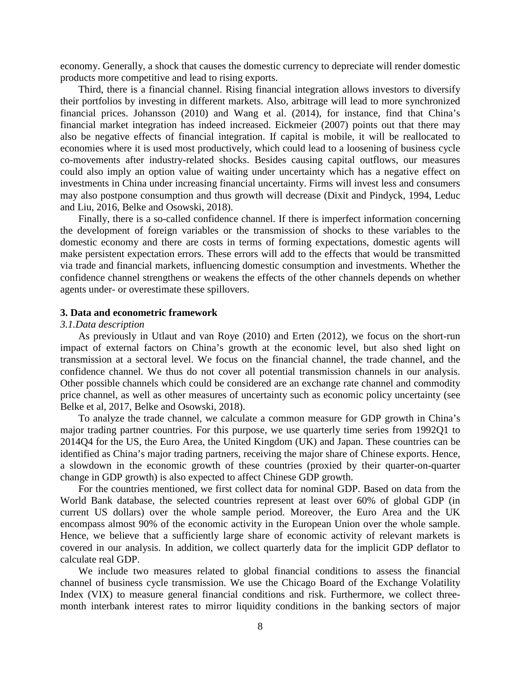economy. Generally, a shock that causes the domestic currency to depreciate will render domestic products more competitive and lead to rising exports.

Third, there is a financial channel. Rising financial integration allows investors to diversify their portfolios by investing in different markets. Also, arbitrage will lead to more synchronized financial prices. Johansson (2010) and Wang et al. (2014), for instance, find that China's financial market integration has indeed increased. Eickmeier (2007) points out that there may also be negative effects of financial integration. If capital is mobile, it will be reallocated to economies where it is used most productively, which could lead to a loosening of business cycle co-movements after industry-related shocks. Besides causing capital outflows, our measures could also imply an option value of waiting under uncertainty which has a negative effect on investments in China under increasing financial uncertainty. Firms will invest less and consumers may also postpone consumption and thus growth will decrease (Dixit and Pindyck, 1994, Leduc and Liu, 2016, Belke and Osowski, 2018).

Finally, there is a so-called confidence channel. If there is imperfect information concerning the development of foreign variables or the transmission of shocks to these variables to the domestic economy and there are costs in terms of forming expectations, domestic agents will make persistent expectation errors. These errors will add to the effects that would be transmitted via trade and financial markets, influencing domestic consumption and investments. Whether the confidence channel strengthens or weakens the effects of the other channels depends on whether agents under- or overestimate these spillovers.

# **3. Data and econometric framework**

### *3.1.Data description*

As previously in Utlaut and van Roye (2010) and Erten (2012), we focus on the short-run impact of external factors on China's growth at the economic level, but also shed light on transmission at a sectoral level. We focus on the financial channel, the trade channel, and the confidence channel. We thus do not cover all potential transmission channels in our analysis. Other possible channels which could be considered are an exchange rate channel and commodity price channel, as well as other measures of uncertainty such as economic policy uncertainty (see Belke et al, 2017, Belke and Osowski, 2018).

To analyze the trade channel, we calculate a common measure for GDP growth in China's major trading partner countries. For this purpose, we use quarterly time series from 1992Q1 to 2014Q4 for the US, the Euro Area, the United Kingdom (UK) and Japan. These countries can be identified as China's major trading partners, receiving the major share of Chinese exports. Hence, a slowdown in the economic growth of these countries (proxied by their quarter-on-quarter change in GDP growth) is also expected to affect Chinese GDP growth.

For the countries mentioned, we first collect data for nominal GDP. Based on data from the World Bank database, the selected countries represent at least over 60% of global GDP (in current US dollars) over the whole sample period. Moreover, the Euro Area and the UK encompass almost 90% of the economic activity in the European Union over the whole sample. Hence, we believe that a sufficiently large share of economic activity of relevant markets is covered in our analysis. In addition, we collect quarterly data for the implicit GDP deflator to calculate real GDP.

We include two measures related to global financial conditions to assess the financial channel of business cycle transmission. We use the Chicago Board of the Exchange Volatility Index (VIX) to measure general financial conditions and risk. Furthermore, we collect threemonth interbank interest rates to mirror liquidity conditions in the banking sectors of major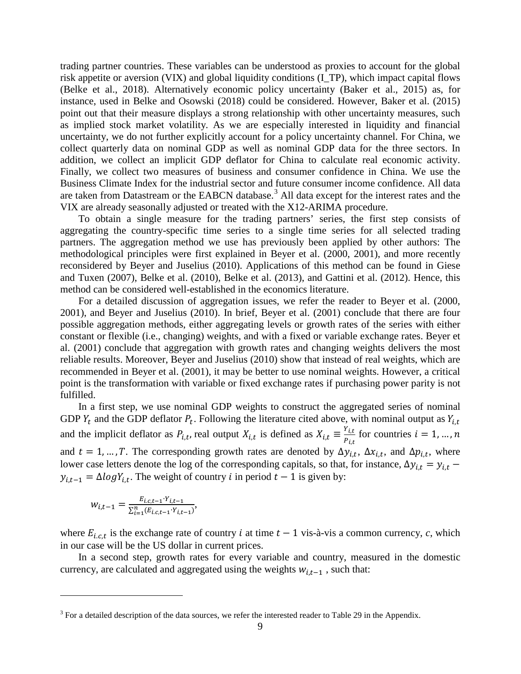trading partner countries. These variables can be understood as proxies to account for the global risk appetite or aversion (VIX) and global liquidity conditions (I\_TP), which impact capital flows (Belke et al., 2018). Alternatively economic policy uncertainty (Baker et al., 2015) as, for instance, used in Belke and Osowski (2018) could be considered. However, Baker et al. (2015) point out that their measure displays a strong relationship with other uncertainty measures, such as implied stock market volatility. As we are especially interested in liquidity and financial uncertainty, we do not further explicitly account for a policy uncertainty channel. For China, we collect quarterly data on nominal GDP as well as nominal GDP data for the three sectors. In addition, we collect an implicit GDP deflator for China to calculate real economic activity. Finally, we collect two measures of business and consumer confidence in China. We use the Business Climate Index for the industrial sector and future consumer income confidence. All data are taken from Datastream or the EABCN database.<sup>[3](#page-9-0)</sup> All data except for the interest rates and the VIX are already seasonally adjusted or treated with the X12-ARIMA procedure.

To obtain a single measure for the trading partners' series, the first step consists of aggregating the country-specific time series to a single time series for all selected trading partners. The aggregation method we use has previously been applied by other authors: The methodological principles were first explained in Beyer et al. (2000, 2001), and more recently reconsidered by Beyer and Juselius (2010). Applications of this method can be found in Giese and Tuxen (2007), Belke et al. (2010), Belke et al. (2013), and Gattini et al. (2012). Hence, this method can be considered well-established in the economics literature.

For a detailed discussion of aggregation issues, we refer the reader to Beyer et al. (2000, 2001), and Beyer and Juselius (2010). In brief, Beyer et al. (2001) conclude that there are four possible aggregation methods, either aggregating levels or growth rates of the series with either constant or flexible (i.e., changing) weights, and with a fixed or variable exchange rates. Beyer et al. (2001) conclude that aggregation with growth rates and changing weights delivers the most reliable results. Moreover, Beyer and Juselius (2010) show that instead of real weights, which are recommended in Beyer et al. (2001), it may be better to use nominal weights. However, a critical point is the transformation with variable or fixed exchange rates if purchasing power parity is not fulfilled.

In a first step, we use nominal GDP weights to construct the aggregated series of nominal GDP  $Y_t$  and the GDP deflator  $P_t$ . Following the literature cited above, with nominal output as  $Y_{i,t}$ and the implicit deflator as  $P_{i,t}$ , real output  $X_{i,t}$  is defined as  $X_{i,t} \equiv \frac{Y_{i,t}}{P_{i,t}}$  $\frac{r_{i,t}}{P_{i,t}}$  for countries  $i = 1, ..., n$ and  $t = 1, ..., T$ . The corresponding growth rates are denoted by  $\Delta y_{i,t}$ ,  $\Delta x_{i,t}$ , and  $\Delta p_{i,t}$ , where lower case letters denote the log of the corresponding capitals, so that, for instance,  $\Delta y_{i,t} = y_{i,t}$  –  $y_{i,t-1} = \Delta log Y_{i,t}$ . The weight of country *i* in period  $t - 1$  is given by:

$$
W_{i,t-1} = \frac{E_{i.c,t-1} \cdot Y_{i,t-1}}{\sum_{i=1}^{n} (E_{i.c,t-1} \cdot Y_{i,t-1})},
$$

 $\overline{a}$ 

where  $E_{i,c,t}$  is the exchange rate of country *i* at time  $t - 1$  vis-à-vis a common currency, *c*, which in our case will be the US dollar in current prices.

In a second step, growth rates for every variable and country, measured in the domestic currency, are calculated and aggregated using the weights  $w_{i,t-1}$ , such that:

<span id="page-9-0"></span><sup>&</sup>lt;sup>3</sup> For a detailed description of the data sources, we refer the interested reader to Table 29 in the Appendix.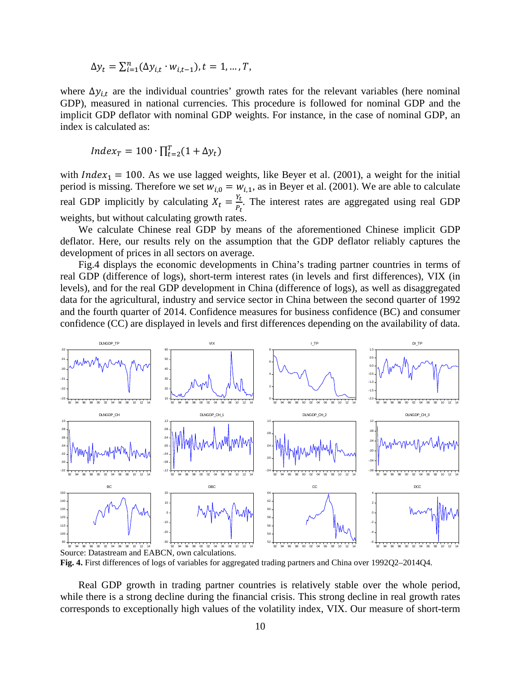$$
\Delta y_t = \sum_{i=1}^n (\Delta y_{i,t} \cdot w_{i,t-1}), t = 1, \dots, T,
$$

where  $\Delta y_{i,t}$  are the individual countries' growth rates for the relevant variables (here nominal GDP), measured in national currencies. This procedure is followed for nominal GDP and the implicit GDP deflator with nominal GDP weights. For instance, in the case of nominal GDP, an index is calculated as:

$$
Index_T = 100 \cdot \prod_{t=2}^T (1 + \Delta y_t)
$$

with  $Index_1 = 100$ . As we use lagged weights, like Beyer et al. (2001), a weight for the initial period is missing. Therefore we set  $w_{i,0} = w_{i,1}$ , as in Beyer et al. (2001). We are able to calculate real GDP implicitly by calculating  $X_t = \frac{Y_t}{P_t}$ . The interest rates are aggregated using real GDP weights, but without calculating growth rates.

We calculate Chinese real GDP by means of the aforementioned Chinese implicit GDP deflator. Here, our results rely on the assumption that the GDP deflator reliably captures the development of prices in all sectors on average.

Fig.4 displays the economic developments in China's trading partner countries in terms of real GDP (difference of logs), short-term interest rates (in levels and first differences), VIX (in levels), and for the real GDP development in China (difference of logs), as well as disaggregated data for the agricultural, industry and service sector in China between the second quarter of 1992 and the fourth quarter of 2014. Confidence measures for business confidence (BC) and consumer confidence (CC) are displayed in levels and first differences depending on the availability of data.



**Fig. 4.** First differences of logs of variables for aggregated trading partners and China over 1992Q2–2014Q4.

Real GDP growth in trading partner countries is relatively stable over the whole period, while there is a strong decline during the financial crisis. This strong decline in real growth rates corresponds to exceptionally high values of the volatility index, VIX. Our measure of short-term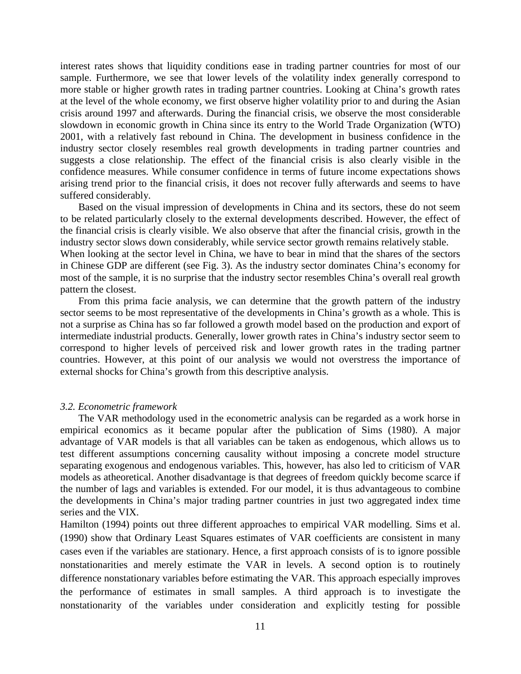interest rates shows that liquidity conditions ease in trading partner countries for most of our sample. Furthermore, we see that lower levels of the volatility index generally correspond to more stable or higher growth rates in trading partner countries. Looking at China's growth rates at the level of the whole economy, we first observe higher volatility prior to and during the Asian crisis around 1997 and afterwards. During the financial crisis, we observe the most considerable slowdown in economic growth in China since its entry to the World Trade Organization (WTO) 2001, with a relatively fast rebound in China. The development in business confidence in the industry sector closely resembles real growth developments in trading partner countries and suggests a close relationship. The effect of the financial crisis is also clearly visible in the confidence measures. While consumer confidence in terms of future income expectations shows arising trend prior to the financial crisis, it does not recover fully afterwards and seems to have suffered considerably.

Based on the visual impression of developments in China and its sectors, these do not seem to be related particularly closely to the external developments described. However, the effect of the financial crisis is clearly visible. We also observe that after the financial crisis, growth in the industry sector slows down considerably, while service sector growth remains relatively stable. When looking at the sector level in China, we have to bear in mind that the shares of the sectors in Chinese GDP are different (see Fig. 3). As the industry sector dominates China's economy for

most of the sample, it is no surprise that the industry sector resembles China's overall real growth pattern the closest.

From this prima facie analysis, we can determine that the growth pattern of the industry sector seems to be most representative of the developments in China's growth as a whole. This is not a surprise as China has so far followed a growth model based on the production and export of intermediate industrial products. Generally, lower growth rates in China's industry sector seem to correspond to higher levels of perceived risk and lower growth rates in the trading partner countries. However, at this point of our analysis we would not overstress the importance of external shocks for China's growth from this descriptive analysis.

# *3.2. Econometric framework*

The VAR methodology used in the econometric analysis can be regarded as a work horse in empirical economics as it became popular after the publication of Sims (1980). A major advantage of VAR models is that all variables can be taken as endogenous, which allows us to test different assumptions concerning causality without imposing a concrete model structure separating exogenous and endogenous variables. This, however, has also led to criticism of VAR models as atheoretical. Another disadvantage is that degrees of freedom quickly become scarce if the number of lags and variables is extended. For our model, it is thus advantageous to combine the developments in China's major trading partner countries in just two aggregated index time series and the VIX.

Hamilton (1994) points out three different approaches to empirical VAR modelling. Sims et al. (1990) show that Ordinary Least Squares estimates of VAR coefficients are consistent in many cases even if the variables are stationary. Hence, a first approach consists of is to ignore possible nonstationarities and merely estimate the VAR in levels. A second option is to routinely difference nonstationary variables before estimating the VAR. This approach especially improves the performance of estimates in small samples. A third approach is to investigate the nonstationarity of the variables under consideration and explicitly testing for possible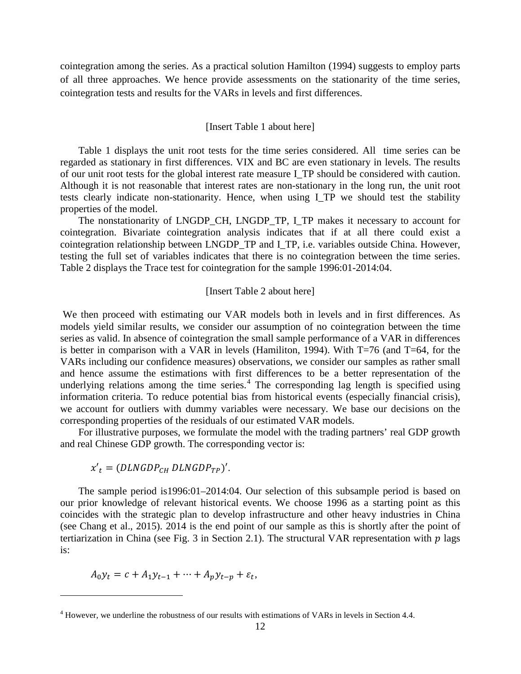cointegration among the series. As a practical solution Hamilton (1994) suggests to employ parts of all three approaches. We hence provide assessments on the stationarity of the time series, cointegration tests and results for the VARs in levels and first differences.

# [Insert Table 1 about here]

Table 1 displays the unit root tests for the time series considered. All time series can be regarded as stationary in first differences. VIX and BC are even stationary in levels. The results of our unit root tests for the global interest rate measure I\_TP should be considered with caution. Although it is not reasonable that interest rates are non-stationary in the long run, the unit root tests clearly indicate non-stationarity. Hence, when using I\_TP we should test the stability properties of the model.

The nonstationarity of LNGDP\_CH, LNGDP\_TP, I\_TP makes it necessary to account for cointegration. Bivariate cointegration analysis indicates that if at all there could exist a cointegration relationship between LNGDP\_TP and I\_TP, i.e. variables outside China. However, testing the full set of variables indicates that there is no cointegration between the time series. Table 2 displays the Trace test for cointegration for the sample 1996:01-2014:04.

# [Insert Table 2 about here]

We then proceed with estimating our VAR models both in levels and in first differences. As models yield similar results, we consider our assumption of no cointegration between the time series as valid. In absence of cointegration the small sample performance of a VAR in differences is better in comparison with a VAR in levels (Hamiliton, 1994). With  $T=76$  (and  $T=64$ , for the VARs including our confidence measures) observations, we consider our samples as rather small and hence assume the estimations with first differences to be a better representation of the underlying relations among the time series.<sup>[4](#page-12-0)</sup> The corresponding lag length is specified using information criteria. To reduce potential bias from historical events (especially financial crisis), we account for outliers with dummy variables were necessary. We base our decisions on the corresponding properties of the residuals of our estimated VAR models.

For illustrative purposes, we formulate the model with the trading partners' real GDP growth and real Chinese GDP growth. The corresponding vector is:

$$
x'_{t} = (DLNGDP_{CH} DLMGDP_{TP})'.
$$

The sample period is1996:01–2014:04. Our selection of this subsample period is based on our prior knowledge of relevant historical events. We choose 1996 as a starting point as this coincides with the strategic plan to develop infrastructure and other heavy industries in China (see Chang et al., 2015). 2014 is the end point of our sample as this is shortly after the point of tertiarization in China (see Fig. 3 in Section 2.1). The structural VAR representation with  $p$  lags is:

$$
A_0 y_t = c + A_1 y_{t-1} + \dots + A_p y_{t-p} + \varepsilon_t,
$$

 $\overline{a}$ 

<span id="page-12-0"></span><sup>&</sup>lt;sup>4</sup> However, we underline the robustness of our results with estimations of VARs in levels in Section 4.4.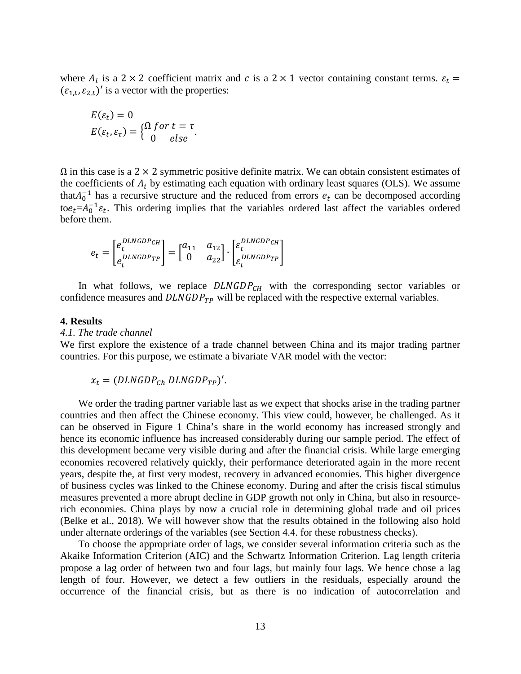where  $A_i$  is a 2 × 2 coefficient matrix and c is a 2 × 1 vector containing constant terms.  $\varepsilon_t$  =  $(\varepsilon_{1,t}, \varepsilon_{2,t})'$  is a vector with the properties:

$$
E(\varepsilon_t) = 0
$$
  
 
$$
E(\varepsilon_t, \varepsilon_\tau) = \begin{cases} \Omega \text{ for } t = \tau \\ 0 \text{ else} \end{cases}.
$$

 $\Omega$  in this case is a 2  $\times$  2 symmetric positive definite matrix. We can obtain consistent estimates of the coefficients of  $A_i$  by estimating each equation with ordinary least squares (OLS). We assume that  $A_0^{-1}$  has a recursive structure and the reduced from errors  $e_t$  can be decomposed according to  $e_t = A_0^{-1} \varepsilon_t$ . This ordering implies that the variables ordered last affect the variables ordered before them.

$$
e_t = \begin{bmatrix} e_t^{D L N G D P_{CH}} \\ e_t^{D L N G D P_{TP}} \end{bmatrix} = \begin{bmatrix} a_{11} & a_{12} \\ 0 & a_{22} \end{bmatrix} \cdot \begin{bmatrix} \varepsilon_t^{D L N G D P_{CH}} \\ \varepsilon_t^{D L N G D P_{TP}} \end{bmatrix}
$$

In what follows, we replace  $DLNGDP<sub>CH</sub>$  with the corresponding sector variables or confidence measures and  $DLNGDP_{TP}$  will be replaced with the respective external variables.

### **4. Results**

*4.1. The trade channel*

We first explore the existence of a trade channel between China and its major trading partner countries. For this purpose, we estimate a bivariate VAR model with the vector:

$$
x_t = (DLNGDP_{Ch} DLMGDP_{TP})'.
$$

We order the trading partner variable last as we expect that shocks arise in the trading partner countries and then affect the Chinese economy. This view could, however, be challenged. As it can be observed in Figure 1 China's share in the world economy has increased strongly and hence its economic influence has increased considerably during our sample period. The effect of this development became very visible during and after the financial crisis. While large emerging economies recovered relatively quickly, their performance deteriorated again in the more recent years, despite the, at first very modest, recovery in advanced economies. This higher divergence of business cycles was linked to the Chinese economy. During and after the crisis fiscal stimulus measures prevented a more abrupt decline in GDP growth not only in China, but also in resourcerich economies. China plays by now a crucial role in determining global trade and oil prices (Belke et al., 2018). We will however show that the results obtained in the following also hold under alternate orderings of the variables (see Section 4.4. for these robustness checks).

To choose the appropriate order of lags, we consider several information criteria such as the Akaike Information Criterion (AIC) and the Schwartz Information Criterion. Lag length criteria propose a lag order of between two and four lags, but mainly four lags. We hence chose a lag length of four. However, we detect a few outliers in the residuals, especially around the occurrence of the financial crisis, but as there is no indication of autocorrelation and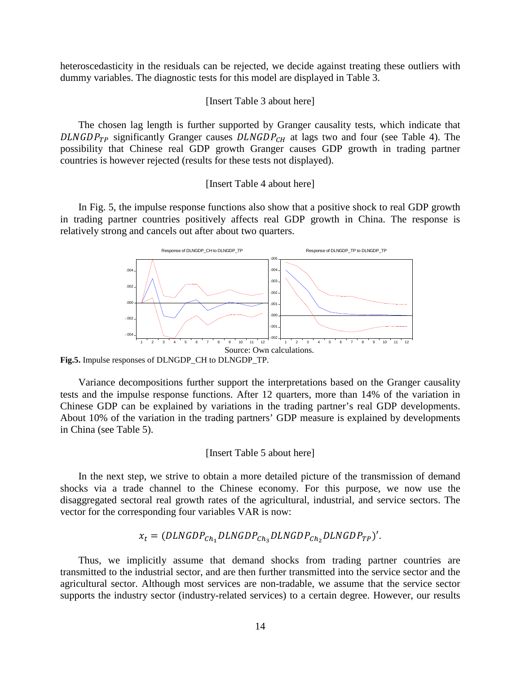heteroscedasticity in the residuals can be rejected, we decide against treating these outliers with dummy variables. The diagnostic tests for this model are displayed in Table 3.

### [Insert Table 3 about here]

The chosen lag length is further supported by Granger causality tests, which indicate that DLNGDP<sub>TP</sub> significantly Granger causes  $DLNGDP<sub>CH</sub>$  at lags two and four (see Table 4). The possibility that Chinese real GDP growth Granger causes GDP growth in trading partner countries is however rejected (results for these tests not displayed).

### [Insert Table 4 about here]

In Fig. 5, the impulse response functions also show that a positive shock to real GDP growth in trading partner countries positively affects real GDP growth in China. The response is relatively strong and cancels out after about two quarters.



**Fig.5.** Impulse responses of DLNGDP\_CH to DLNGDP\_TP.

Variance decompositions further support the interpretations based on the Granger causality tests and the impulse response functions. After 12 quarters, more than 14% of the variation in Chinese GDP can be explained by variations in the trading partner's real GDP developments. About 10% of the variation in the trading partners' GDP measure is explained by developments in China (see Table 5).

## [Insert Table 5 about here]

In the next step, we strive to obtain a more detailed picture of the transmission of demand shocks via a trade channel to the Chinese economy. For this purpose, we now use the disaggregated sectoral real growth rates of the agricultural, industrial, and service sectors. The vector for the corresponding four variables VAR is now:

$$
x_t = (DLNGDP_{Ch_1}DLNGDP_{Ch_3}DLNGDP_{Ch_2}DLNGDP_{TP})'.
$$

Thus, we implicitly assume that demand shocks from trading partner countries are transmitted to the industrial sector, and are then further transmitted into the service sector and the agricultural sector. Although most services are non-tradable, we assume that the service sector supports the industry sector (industry-related services) to a certain degree. However, our results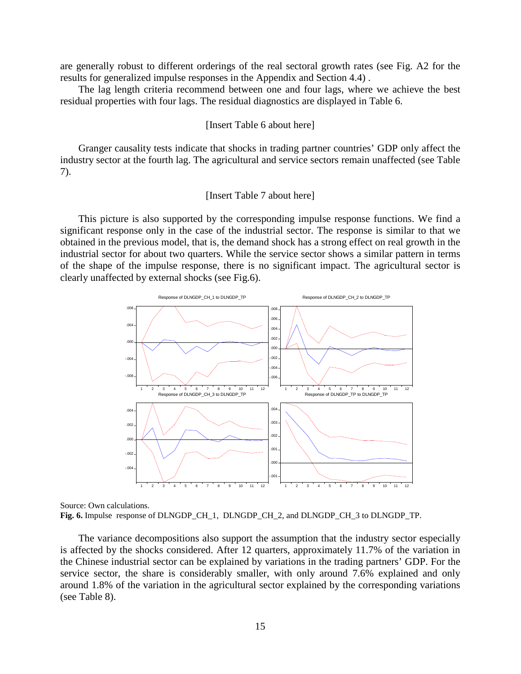are generally robust to different orderings of the real sectoral growth rates (see Fig. A2 for the results for generalized impulse responses in the Appendix and Section 4.4) .

The lag length criteria recommend between one and four lags, where we achieve the best residual properties with four lags. The residual diagnostics are displayed in Table 6.

### [Insert Table 6 about here]

Granger causality tests indicate that shocks in trading partner countries' GDP only affect the industry sector at the fourth lag. The agricultural and service sectors remain unaffected (see Table 7).

#### [Insert Table 7 about here]

This picture is also supported by the corresponding impulse response functions. We find a significant response only in the case of the industrial sector. The response is similar to that we obtained in the previous model, that is, the demand shock has a strong effect on real growth in the industrial sector for about two quarters. While the service sector shows a similar pattern in terms of the shape of the impulse response, there is no significant impact. The agricultural sector is clearly unaffected by external shocks (see Fig.6).



Source: Own calculations. **Fig. 6.** Impulse response of DLNGDP\_CH\_1, DLNGDP\_CH\_2, and DLNGDP\_CH\_3 to DLNGDP\_TP.

The variance decompositions also support the assumption that the industry sector especially is affected by the shocks considered. After 12 quarters, approximately 11.7% of the variation in the Chinese industrial sector can be explained by variations in the trading partners' GDP. For the service sector, the share is considerably smaller, with only around 7.6% explained and only around 1.8% of the variation in the agricultural sector explained by the corresponding variations (see Table 8).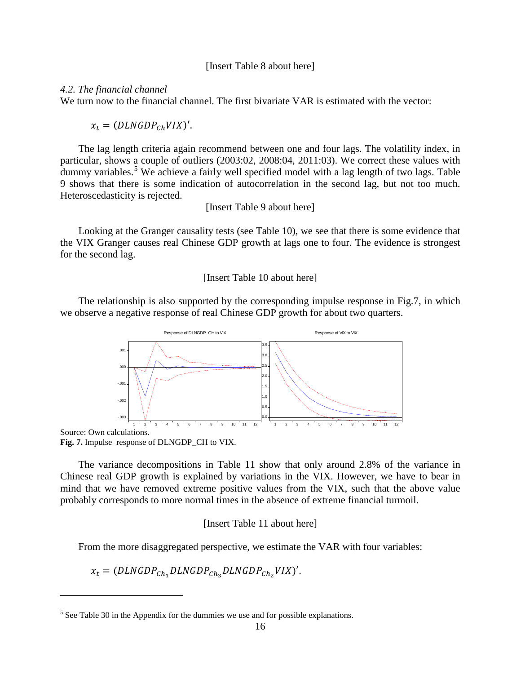# [Insert Table 8 about here]

*4.2. The financial channel*

We turn now to the financial channel. The first bivariate VAR is estimated with the vector:

 $x_t = (DLNGDP_{Ch}VIX)'$ .

The lag length criteria again recommend between one and four lags. The volatility index, in particular, shows a couple of outliers (2003:02, 2008:04, 2011:03). We correct these values with dummy variables.<sup>[5](#page-16-0)</sup> We achieve a fairly well specified model with a lag length of two lags. Table 9 shows that there is some indication of autocorrelation in the second lag, but not too much. Heteroscedasticity is rejected.

[Insert Table 9 about here]

Looking at the Granger causality tests (see Table 10), we see that there is some evidence that the VIX Granger causes real Chinese GDP growth at lags one to four. The evidence is strongest for the second lag.

[Insert Table 10 about here]

The relationship is also supported by the corresponding impulse response in Fig.7, in which we observe a negative response of real Chinese GDP growth for about two quarters.



**Fig. 7.** Impulse response of DLNGDP\_CH to VIX.

 $\overline{a}$ 

The variance decompositions in Table 11 show that only around 2.8% of the variance in Chinese real GDP growth is explained by variations in the VIX. However, we have to bear in mind that we have removed extreme positive values from the VIX, such that the above value probably corresponds to more normal times in the absence of extreme financial turmoil.

[Insert Table 11 about here]

From the more disaggregated perspective, we estimate the VAR with four variables:

 $x_t = (DLNGDP<sub>Ch1</sub> DLMGDP<sub>Ch2</sub> DLMGDP<sub>Ch2</sub> VIX)'$ .

<span id="page-16-0"></span><sup>&</sup>lt;sup>5</sup> See Table 30 in the Appendix for the dummies we use and for possible explanations.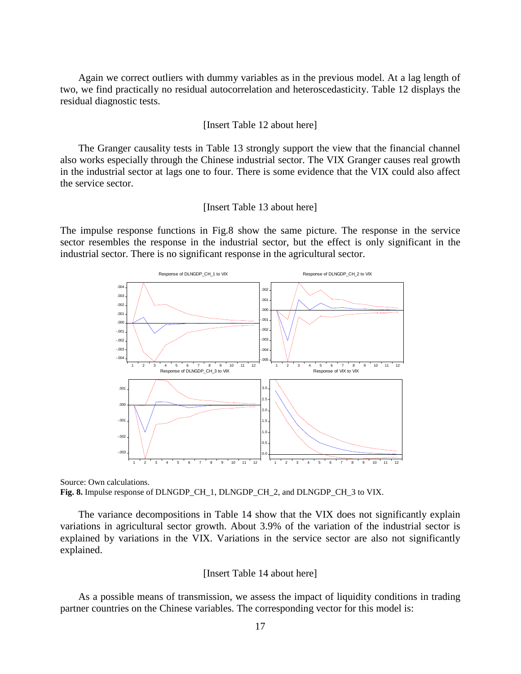Again we correct outliers with dummy variables as in the previous model. At a lag length of two, we find practically no residual autocorrelation and heteroscedasticity. Table 12 displays the residual diagnostic tests.

# [Insert Table 12 about here]

The Granger causality tests in Table 13 strongly support the view that the financial channel also works especially through the Chinese industrial sector. The VIX Granger causes real growth in the industrial sector at lags one to four. There is some evidence that the VIX could also affect the service sector.

# [Insert Table 13 about here]

The impulse response functions in Fig.8 show the same picture. The response in the service sector resembles the response in the industrial sector, but the effect is only significant in the industrial sector. There is no significant response in the agricultural sector.



Source: Own calculations. **Fig. 8.** Impulse response of DLNGDP\_CH\_1, DLNGDP\_CH\_2, and DLNGDP\_CH\_3 to VIX.

The variance decompositions in Table 14 show that the VIX does not significantly explain variations in agricultural sector growth. About 3.9% of the variation of the industrial sector is explained by variations in the VIX. Variations in the service sector are also not significantly explained.

### [Insert Table 14 about here]

As a possible means of transmission, we assess the impact of liquidity conditions in trading partner countries on the Chinese variables. The corresponding vector for this model is: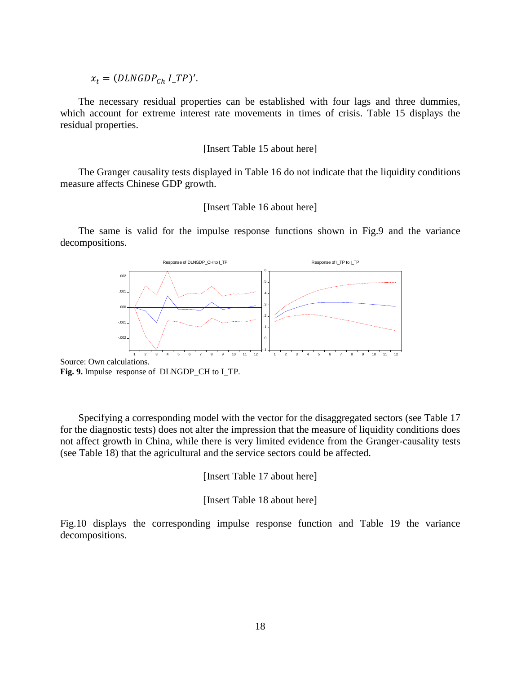$x_t = (DLNGDP_{Ch} I\_TP)'$ .

The necessary residual properties can be established with four lags and three dummies, which account for extreme interest rate movements in times of crisis. Table 15 displays the residual properties.

[Insert Table 15 about here]

The Granger causality tests displayed in Table 16 do not indicate that the liquidity conditions measure affects Chinese GDP growth.

# [Insert Table 16 about here]

The same is valid for the impulse response functions shown in Fig.9 and the variance decompositions.



**Fig. 9.** Impulse response of DLNGDP\_CH to I\_TP.

Specifying a corresponding model with the vector for the disaggregated sectors (see Table 17 for the diagnostic tests) does not alter the impression that the measure of liquidity conditions does not affect growth in China, while there is very limited evidence from the Granger-causality tests (see Table 18) that the agricultural and the service sectors could be affected.

[Insert Table 17 about here]

[Insert Table 18 about here]

Fig.10 displays the corresponding impulse response function and Table 19 the variance decompositions.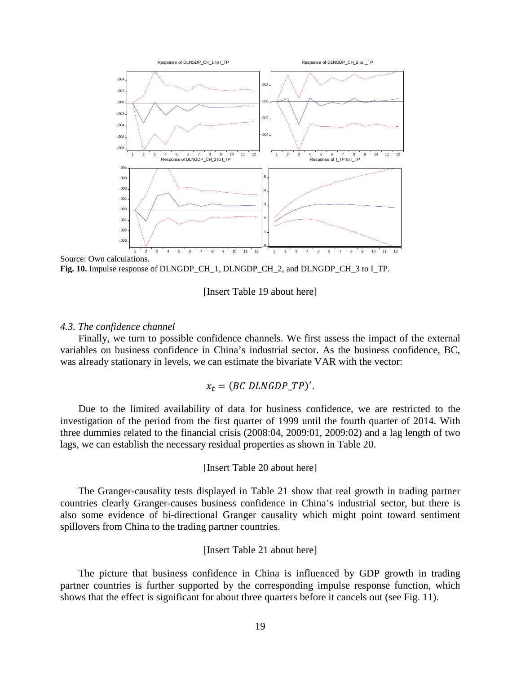

Source: Own calculations. **Fig. 10.** Impulse response of DLNGDP\_CH\_1, DLNGDP\_CH\_2, and DLNGDP\_CH\_3 to I\_TP.

[Insert Table 19 about here]

#### *4.3. The confidence channel*

Finally, we turn to possible confidence channels. We first assess the impact of the external variables on business confidence in China's industrial sector. As the business confidence, BC, was already stationary in levels, we can estimate the bivariate VAR with the vector:

$$
x_t = (BC\ DLRGDP_TP)'
$$

Due to the limited availability of data for business confidence, we are restricted to the investigation of the period from the first quarter of 1999 until the fourth quarter of 2014. With three dummies related to the financial crisis (2008:04, 2009:01, 2009:02) and a lag length of two lags, we can establish the necessary residual properties as shown in Table 20.

[Insert Table 20 about here]

The Granger-causality tests displayed in Table 21 show that real growth in trading partner countries clearly Granger-causes business confidence in China's industrial sector, but there is also some evidence of bi-directional Granger causality which might point toward sentiment spillovers from China to the trading partner countries.

# [Insert Table 21 about here]

The picture that business confidence in China is influenced by GDP growth in trading partner countries is further supported by the corresponding impulse response function, which shows that the effect is significant for about three quarters before it cancels out (see Fig. 11).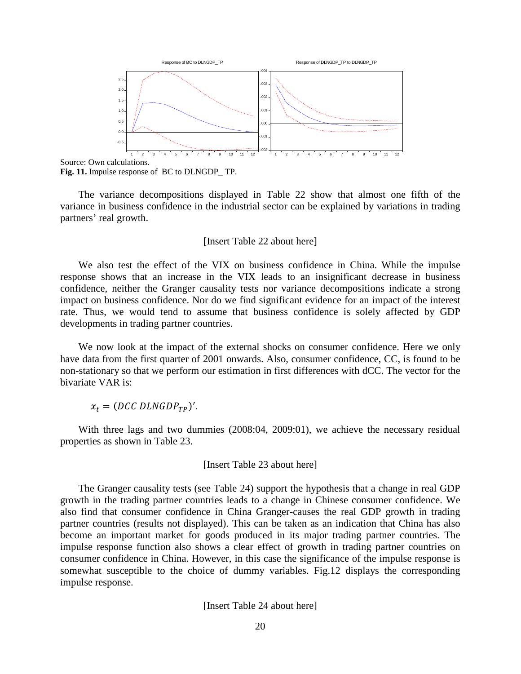

Source: Own calculations. **Fig. 11.** Impulse response of BC to DLNGDP\_ TP.

The variance decompositions displayed in Table 22 show that almost one fifth of the variance in business confidence in the industrial sector can be explained by variations in trading partners' real growth.

# [Insert Table 22 about here]

We also test the effect of the VIX on business confidence in China. While the impulse response shows that an increase in the VIX leads to an insignificant decrease in business confidence, neither the Granger causality tests nor variance decompositions indicate a strong impact on business confidence. Nor do we find significant evidence for an impact of the interest rate. Thus, we would tend to assume that business confidence is solely affected by GDP developments in trading partner countries.

We now look at the impact of the external shocks on consumer confidence. Here we only have data from the first quarter of 2001 onwards. Also, consumer confidence, CC, is found to be non-stationary so that we perform our estimation in first differences with dCC. The vector for the bivariate VAR is:

 $x_t = (DCC\ D LNGDP_{TP})'.$ 

With three lags and two dummies (2008:04, 2009:01), we achieve the necessary residual properties as shown in Table 23.

[Insert Table 23 about here]

The Granger causality tests (see Table 24) support the hypothesis that a change in real GDP growth in the trading partner countries leads to a change in Chinese consumer confidence. We also find that consumer confidence in China Granger-causes the real GDP growth in trading partner countries (results not displayed). This can be taken as an indication that China has also become an important market for goods produced in its major trading partner countries. The impulse response function also shows a clear effect of growth in trading partner countries on consumer confidence in China. However, in this case the significance of the impulse response is somewhat susceptible to the choice of dummy variables. Fig.12 displays the corresponding impulse response.

[Insert Table 24 about here]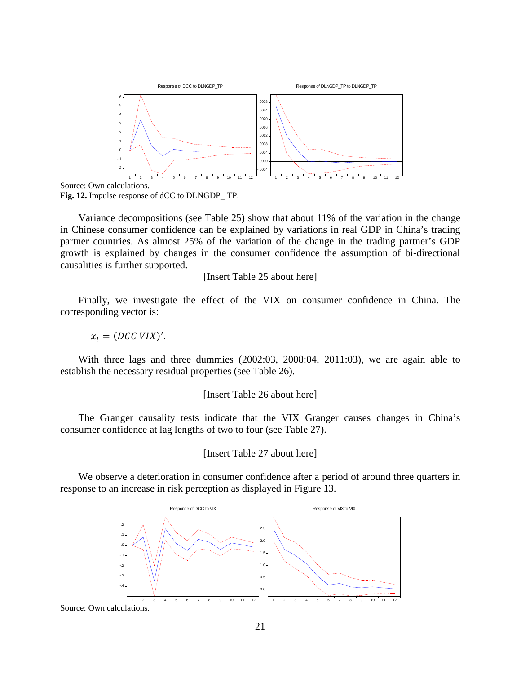

**Fig. 12.** Impulse response of dCC to DLNGDP\_ TP.

Variance decompositions (see Table 25) show that about 11% of the variation in the change in Chinese consumer confidence can be explained by variations in real GDP in China's trading partner countries. As almost 25% of the variation of the change in the trading partner's GDP growth is explained by changes in the consumer confidence the assumption of bi-directional causalities is further supported.

[Insert Table 25 about here]

Finally, we investigate the effect of the VIX on consumer confidence in China. The corresponding vector is:

 $x_t = (DCC \text{ } VIX)'$ .

With three lags and three dummies (2002:03, 2008:04, 2011:03), we are again able to establish the necessary residual properties (see Table 26).

[Insert Table 26 about here]

The Granger causality tests indicate that the VIX Granger causes changes in China's consumer confidence at lag lengths of two to four (see Table 27).

[Insert Table 27 about here]

We observe a deterioration in consumer confidence after a period of around three quarters in response to an increase in risk perception as displayed in Figure 13.



Source: Own calculations.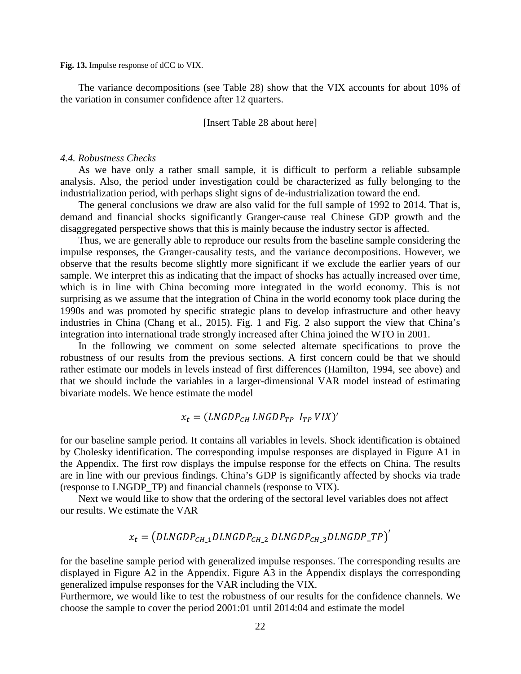**Fig. 13.** Impulse response of dCC to VIX.

The variance decompositions (see Table 28) show that the VIX accounts for about 10% of the variation in consumer confidence after 12 quarters.

[Insert Table 28 about here]

#### *4.4. Robustness Checks*

As we have only a rather small sample, it is difficult to perform a reliable subsample analysis. Also, the period under investigation could be characterized as fully belonging to the industrialization period, with perhaps slight signs of de-industrialization toward the end.

The general conclusions we draw are also valid for the full sample of 1992 to 2014. That is, demand and financial shocks significantly Granger-cause real Chinese GDP growth and the disaggregated perspective shows that this is mainly because the industry sector is affected.

Thus, we are generally able to reproduce our results from the baseline sample considering the impulse responses, the Granger-causality tests, and the variance decompositions. However, we observe that the results become slightly more significant if we exclude the earlier years of our sample. We interpret this as indicating that the impact of shocks has actually increased over time, which is in line with China becoming more integrated in the world economy. This is not surprising as we assume that the integration of China in the world economy took place during the 1990s and was promoted by specific strategic plans to develop infrastructure and other heavy industries in China (Chang et al., 2015). Fig. 1 and Fig. 2 also support the view that China's integration into international trade strongly increased after China joined the WTO in 2001.

In the following we comment on some selected alternate specifications to prove the robustness of our results from the previous sections. A first concern could be that we should rather estimate our models in levels instead of first differences (Hamilton, 1994, see above) and that we should include the variables in a larger-dimensional VAR model instead of estimating bivariate models. We hence estimate the model

$$
x_t = (LNGDP_{CH} LNGDP_{TP} I_{TP} VIX)'
$$

for our baseline sample period. It contains all variables in levels. Shock identification is obtained by Cholesky identification. The corresponding impulse responses are displayed in Figure A1 in the Appendix. The first row displays the impulse response for the effects on China. The results are in line with our previous findings. China's GDP is significantly affected by shocks via trade (response to LNGDP\_TP) and financial channels (response to VIX).

Next we would like to show that the ordering of the sectoral level variables does not affect our results. We estimate the VAR

$$
x_t = \left(DINGDP_{CH\_1} DINGDP_{CH\_2} DINGDP_{CH\_3} DINGDP\_TP\right)'
$$

for the baseline sample period with generalized impulse responses. The corresponding results are displayed in Figure A2 in the Appendix. Figure A3 in the Appendix displays the corresponding generalized impulse responses for the VAR including the VIX.

Furthermore, we would like to test the robustness of our results for the confidence channels. We choose the sample to cover the period 2001:01 until 2014:04 and estimate the model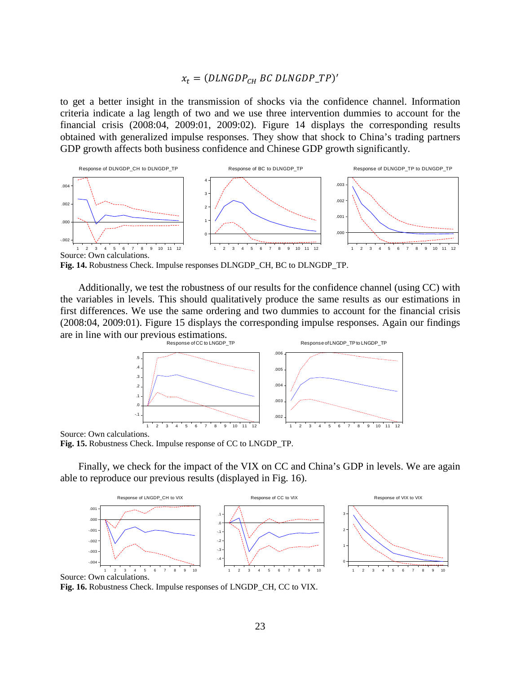# $x_t = (DLNGDP_{CH} BC D L NGDP_T P)'$

to get a better insight in the transmission of shocks via the confidence channel. Information criteria indicate a lag length of two and we use three intervention dummies to account for the financial crisis (2008:04, 2009:01, 2009:02). Figure 14 displays the corresponding results obtained with generalized impulse responses. They show that shock to China's trading partners GDP growth affects both business confidence and Chinese GDP growth significantly.



**Fig. 14.** Robustness Check. Impulse responses DLNGDP\_CH, BC to DLNGDP\_TP.

Additionally, we test the robustness of our results for the confidence channel (using CC) with the variables in levels. This should qualitatively produce the same results as our estimations in first differences. We use the same ordering and two dummies to account for the financial crisis (2008:04, 2009:01). Figure 15 displays the corresponding impulse responses. Again our findings are in line with our previous estimations.



**Fig. 15.** Robustness Check. Impulse response of CC to LNGDP\_TP.

Finally, we check for the impact of the VIX on CC and China's GDP in levels. We are again able to reproduce our previous results (displayed in Fig. 16).



**Fig. 16.** Robustness Check. Impulse responses of LNGDP\_CH, CC to VIX.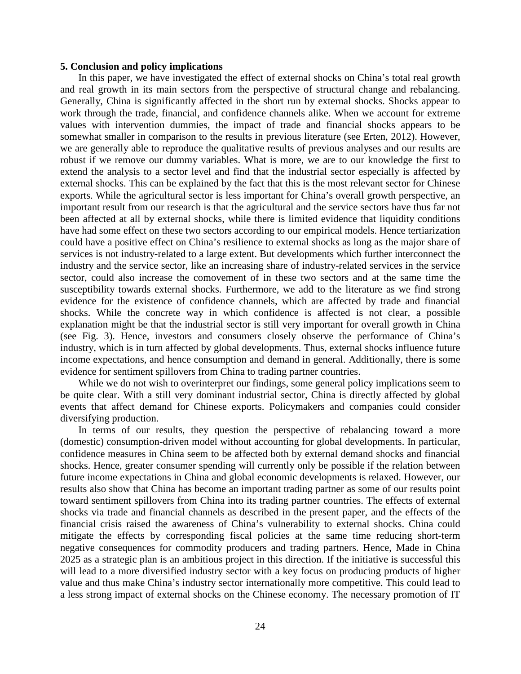## **5. Conclusion and policy implications**

In this paper, we have investigated the effect of external shocks on China's total real growth and real growth in its main sectors from the perspective of structural change and rebalancing. Generally, China is significantly affected in the short run by external shocks. Shocks appear to work through the trade, financial, and confidence channels alike. When we account for extreme values with intervention dummies, the impact of trade and financial shocks appears to be somewhat smaller in comparison to the results in previous literature (see Erten, 2012). However, we are generally able to reproduce the qualitative results of previous analyses and our results are robust if we remove our dummy variables. What is more, we are to our knowledge the first to extend the analysis to a sector level and find that the industrial sector especially is affected by external shocks. This can be explained by the fact that this is the most relevant sector for Chinese exports. While the agricultural sector is less important for China's overall growth perspective, an important result from our research is that the agricultural and the service sectors have thus far not been affected at all by external shocks, while there is limited evidence that liquidity conditions have had some effect on these two sectors according to our empirical models. Hence tertiarization could have a positive effect on China's resilience to external shocks as long as the major share of services is not industry-related to a large extent. But developments which further interconnect the industry and the service sector, like an increasing share of industry-related services in the service sector, could also increase the comovement of in these two sectors and at the same time the susceptibility towards external shocks. Furthermore, we add to the literature as we find strong evidence for the existence of confidence channels, which are affected by trade and financial shocks. While the concrete way in which confidence is affected is not clear, a possible explanation might be that the industrial sector is still very important for overall growth in China (see Fig. 3). Hence, investors and consumers closely observe the performance of China's industry, which is in turn affected by global developments. Thus, external shocks influence future income expectations, and hence consumption and demand in general. Additionally, there is some evidence for sentiment spillovers from China to trading partner countries.

While we do not wish to overinterpret our findings, some general policy implications seem to be quite clear. With a still very dominant industrial sector, China is directly affected by global events that affect demand for Chinese exports. Policymakers and companies could consider diversifying production.

In terms of our results, they question the perspective of rebalancing toward a more (domestic) consumption-driven model without accounting for global developments. In particular, confidence measures in China seem to be affected both by external demand shocks and financial shocks. Hence, greater consumer spending will currently only be possible if the relation between future income expectations in China and global economic developments is relaxed. However, our results also show that China has become an important trading partner as some of our results point toward sentiment spillovers from China into its trading partner countries. The effects of external shocks via trade and financial channels as described in the present paper, and the effects of the financial crisis raised the awareness of China's vulnerability to external shocks. China could mitigate the effects by corresponding fiscal policies at the same time reducing short-term negative consequences for commodity producers and trading partners. Hence, Made in China 2025 as a strategic plan is an ambitious project in this direction. If the initiative is successful this will lead to a more diversified industry sector with a key focus on producing products of higher value and thus make China's industry sector internationally more competitive. This could lead to a less strong impact of external shocks on the Chinese economy. The necessary promotion of IT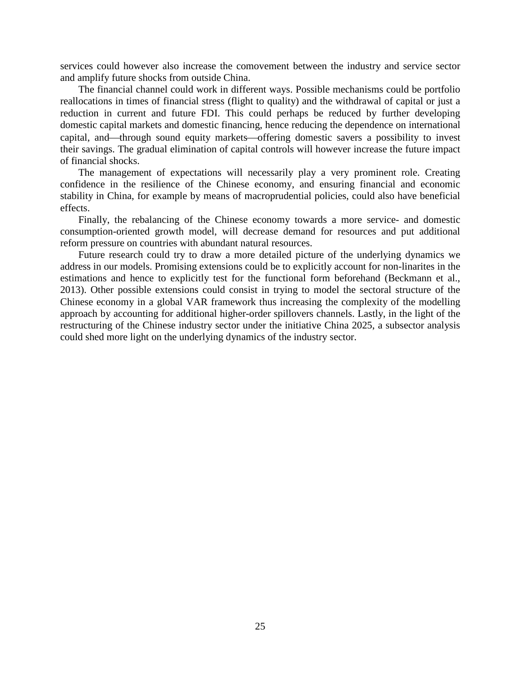services could however also increase the comovement between the industry and service sector and amplify future shocks from outside China.

The financial channel could work in different ways. Possible mechanisms could be portfolio reallocations in times of financial stress (flight to quality) and the withdrawal of capital or just a reduction in current and future FDI. This could perhaps be reduced by further developing domestic capital markets and domestic financing, hence reducing the dependence on international capital, and—through sound equity markets—offering domestic savers a possibility to invest their savings. The gradual elimination of capital controls will however increase the future impact of financial shocks.

The management of expectations will necessarily play a very prominent role. Creating confidence in the resilience of the Chinese economy, and ensuring financial and economic stability in China, for example by means of macroprudential policies, could also have beneficial effects.

Finally, the rebalancing of the Chinese economy towards a more service- and domestic consumption-oriented growth model, will decrease demand for resources and put additional reform pressure on countries with abundant natural resources.

Future research could try to draw a more detailed picture of the underlying dynamics we address in our models. Promising extensions could be to explicitly account for non-linarites in the estimations and hence to explicitly test for the functional form beforehand (Beckmann et al., 2013). Other possible extensions could consist in trying to model the sectoral structure of the Chinese economy in a global VAR framework thus increasing the complexity of the modelling approach by accounting for additional higher-order spillovers channels. Lastly, in the light of the restructuring of the Chinese industry sector under the initiative China 2025, a subsector analysis could shed more light on the underlying dynamics of the industry sector.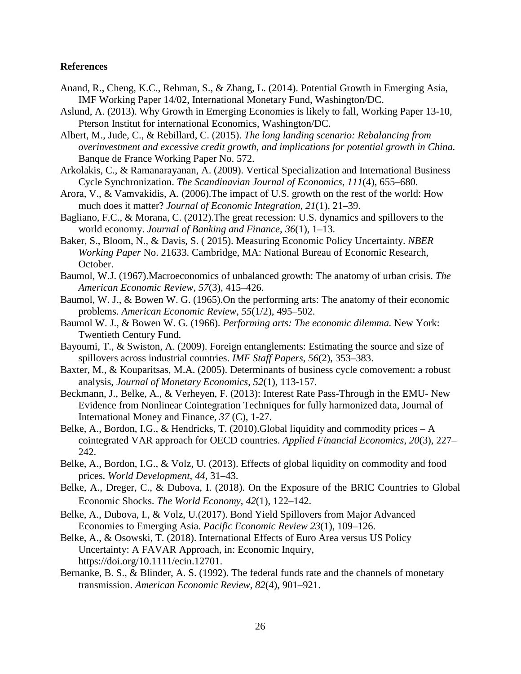# **References**

- Anand, R., Cheng, K.C., Rehman, S., & Zhang, L. (2014). Potential Growth in Emerging Asia, IMF Working Paper 14/02, International Monetary Fund, Washington/DC.
- Aslund, A. (2013). Why Growth in Emerging Economies is likely to fall, Working Paper 13-10, Pterson Institut for international Economics, Washington/DC.
- Albert, M., Jude, C., & Rebillard, C. (2015). *The long landing scenario: Rebalancing from overinvestment and excessive credit growth, and implications for potential growth in China.* Banque de France Working Paper No. 572.
- Arkolakis, C., & Ramanarayanan, A. (2009). Vertical Specialization and International Business Cycle Synchronization. *The Scandinavian Journal of Economics*, *111*(4), 655–680.
- Arora, V., & Vamvakidis, A. (2006).The impact of U.S. growth on the rest of the world: How much does it matter? *Journal of Economic Integration*, *21*(1), 21–39.
- Bagliano, F.C., & Morana, C. (2012).The great recession: U.S. dynamics and spillovers to the world economy. *Journal of Banking and Finance*, *36*(1), 1–13.
- Baker, S., Bloom, N., & Davis, S. ( 2015). Measuring Economic Policy Uncertainty. *NBER Working Paper* No. 21633. Cambridge, MA: National Bureau of Economic Research, October.
- Baumol, W.J. (1967).Macroeconomics of unbalanced growth: The anatomy of urban crisis. *The American Economic Review*, *57*(3), 415–426.
- Baumol, W. J., & Bowen W. G. (1965).On the performing arts: The anatomy of their economic problems. *American Economic Review*, *55*(1/2), 495–502.
- Baumol W. J., & Bowen W. G. (1966). *Performing arts: The economic dilemma.* New York: Twentieth Century Fund.
- Bayoumi, T., & Swiston, A. (2009). Foreign entanglements: Estimating the source and size of spillovers across industrial countries. *IMF Staff Papers*, *56*(2), 353–383.
- Baxter, M., & Kouparitsas, M.A. (2005). Determinants of business cycle comovement: a robust analysis, *Journal of Monetary Economics*, *52*(1), 113-157.
- Beckmann, J., Belke, A., & Verheyen, F. (2013): Interest Rate Pass-Through in the EMU- New Evidence from Nonlinear Cointegration Techniques for fully harmonized data, Journal of International Money and Finance, *37* (C), 1-27.
- Belke, A., Bordon, I.G., & Hendricks, T. (2010). Global liquidity and commodity prices  $-A$ cointegrated VAR approach for OECD countries. *Applied Financial Economics*, *20*(3), 227– 242.
- Belke, A., Bordon, I.G., & Volz, U. (2013). Effects of global liquidity on commodity and food prices. *World Development*, *44*, 31–43.
- Belke, A., Dreger, C., & Dubova, I. (2018). On the Exposure of the BRIC Countries to Global Economic Shocks. *The World Economy*, *42*(1), 122–142.
- Belke, A., Dubova, I., & Volz, U.(2017). Bond Yield Spillovers from Major Advanced Economies to Emerging Asia. *Pacific Economic Review 23*(1), 109–126.
- Belke, A., & Osowski, T. (2018). International Effects of Euro Area versus US Policy Uncertainty: A FAVAR Approach, in: Economic Inquiry, https://doi.org/10.1111/ecin.12701.
- Bernanke, B. S., & Blinder, A. S. (1992). The federal funds rate and the channels of monetary transmission. *American Economic Review*, *82*(4), 901–921.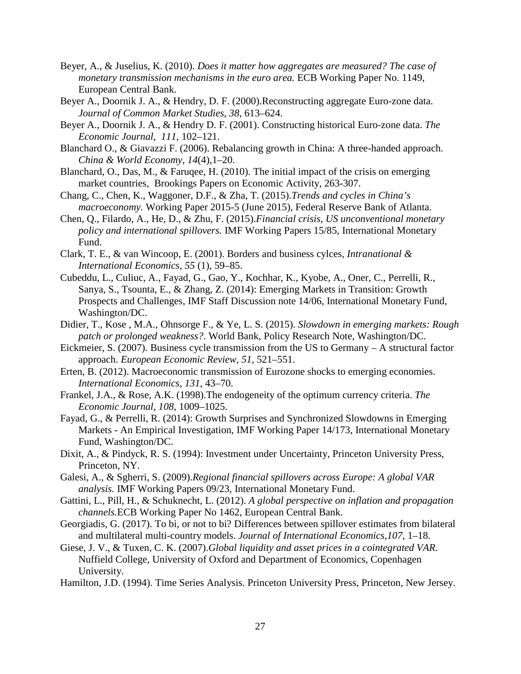- Beyer, A., & Juselius, K. (2010). *Does it matter how aggregates are measured? The case of monetary transmission mechanisms in the euro area.* ECB Working Paper No. 1149, European Central Bank.
- Beyer A., Doornik J. A., & Hendry, D. F. (2000).Reconstructing aggregate Euro-zone data. *Journal of Common Market Studies*, *38*, 613–624.
- Beyer A., Doornik J. A., & Hendry D. F. (2001). Constructing historical Euro-zone data. *The Economic Journal*, *111*, 102–121.
- Blanchard O., & Giavazzi F. (2006). Rebalancing growth in China: A three-handed approach. *China & World Economy*, *14*(4),1–20.
- Blanchard, O., Das, M., & Faruqee, H. (2010). The initial impact of the crisis on emerging market countries, Brookings Papers on Economic Activity, 263-307.
- Chang, C., Chen, K., Waggoner, D.F., & Zha, T. (2015).*Trends and cycles in China's macroeconomy.* Working Paper 2015-5 (June 2015), Federal Reserve Bank of Atlanta.
- Chen, Q., Filardo, A., He, D., & Zhu, F. (2015).*Financial crisis, US unconventional monetary policy and international spillovers.* IMF Working Papers 15/85, International Monetary Fund.
- Clark, T. E., & van Wincoop, E. (2001). Borders and business cylces*, Intranational & International Economics*, *55* (1), 59–85.
- Cubeddu, L., Culiuc, A., Fayad, G., Gao, Y., Kochhar, K., Kyobe, A., Oner, C., Perrelli, R., Sanya, S., Tsounta, E., & Zhang, Z. (2014): Emerging Markets in Transition: Growth Prospects and Challenges, IMF Staff Discussion note 14/06, International Monetary Fund, Washington/DC.
- Didier, T., Kose , M.A., Ohnsorge F., & Ye, L. S. (2015). *Slowdown in emerging markets: Rough patch or prolonged weakness?*. World Bank, Policy Research Note, Washington/DC.
- Eickmeier, S. (2007). Business cycle transmission from the US to Germany A structural factor approach. *European Economic Review*, *51*, 521–551.
- Erten, B. (2012). Macroeconomic transmission of Eurozone shocks to emerging economies. *International Economics*, *131*, 43–70.
- Frankel, J.A., & Rose, A.K. (1998).The endogeneity of the optimum currency criteria. *The Economic Journal*, *108*, 1009–1025.
- Fayad, G., & Perrelli, R. (2014): Growth Surprises and Synchronized Slowdowns in Emerging Markets - An Empirical Investigation, IMF Working Paper 14/173, International Monetary Fund, Washington/DC.
- Dixit, A., & Pindyck, R. S. (1994): Investment under Uncertainty, Princeton University Press, Princeton, NY.
- Galesi, A., & Sgherri, S. (2009).*Regional financial spillovers across Europe: A global VAR analysis.* IMF Working Papers 09/23, International Monetary Fund.
- Gattini, L., Pill, H., & Schuknecht, L. (2012). *A global perspective on inflation and propagation channels.*ECB Working Paper No 1462, European Central Bank.
- Georgiadis, G. (2017). To bi, or not to bi? Differences between spillover estimates from bilateral and multilateral multi-country models. *Journal of International Economics*,*107*, 1–18.
- Giese, J. V., & Tuxen, C. K. (2007).*Global liquidity and asset prices in a cointegrated VAR.* Nuffield College, University of Oxford and Department of Economics, Copenhagen University.
- Hamilton, J.D. (1994). Time Series Analysis. Princeton University Press, Princeton, New Jersey.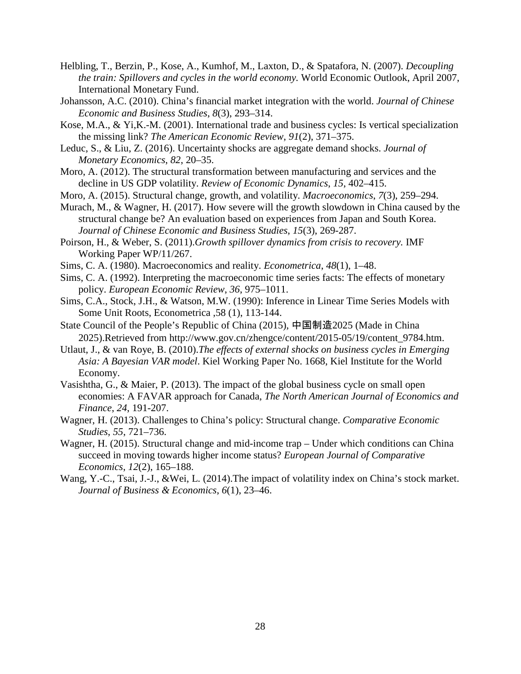- Helbling, T., Berzin, P., Kose, A., Kumhof, M., Laxton, D., & Spatafora, N. (2007). *Decoupling the train: Spillovers and cycles in the world economy.* World Economic Outlook, April 2007, International Monetary Fund.
- Johansson, A.C. (2010). China's financial market integration with the world. *Journal of Chinese Economic and Business Studies*, *8*(3), 293–314.
- Kose, M.A., & Yi,K.-M. (2001). International trade and business cycles: Is vertical specialization the missing link? *The American Economic Review*, *91*(2), 371–375.
- Leduc, S., & Liu, Z. (2016). Uncertainty shocks are aggregate demand shocks. *Journal of Monetary Economics*, *82*, 20–35.
- Moro, A. (2012). The structural transformation between manufacturing and services and the decline in US GDP volatility. *Review of Economic Dynamics*, *15*, 402–415.
- Moro, A. (2015). Structural change, growth, and volatility. *Macroeconomics*, *7*(3), 259–294.
- Murach, M., & Wagner, H. (2017). How severe will the growth slowdown in China caused by the structural change be? An evaluation based on experiences from Japan and South Korea. *Journal of Chinese Economic and Business Studies*, *15*(3), 269-287.
- Poirson, H., & Weber, S. (2011).*Growth spillover dynamics from crisis to recovery.* IMF Working Paper WP/11/267.
- Sims, C. A. (1980). Macroeconomics and reality. *Econometrica*, *48*(1), 1–48.
- Sims, C. A. (1992). Interpreting the macroeconomic time series facts: The effects of monetary policy. *European Economic Review*, *36*, 975–1011.
- Sims, C.A., Stock, J.H., & Watson, M.W. (1990): Inference in Linear Time Series Models with Some Unit Roots, Econometrica ,58 (1), 113-144.
- State Council of the People's Republic of China (2015), 中国制造2025 (Made in China 2025).Retrieved from http://www.gov.cn/zhengce/content/2015-05/19/content\_9784.htm.
- Utlaut, J., & van Roye, B. (2010).*The effects of external shocks on business cycles in Emerging Asia: A Bayesian VAR model*. Kiel Working Paper No. 1668, Kiel Institute for the World Economy.
- Vasishtha, G., & Maier, P. (2013). The impact of the global business cycle on small open economies: A FAVAR approach for Canada, *The North American Journal of Economics and Finance*, *24*, 191-207.
- Wagner, H. (2013). Challenges to China's policy: Structural change. *Comparative Economic Studies*, *55*, 721–736.
- Wagner, H. (2015). Structural change and mid-income trap Under which conditions can China succeed in moving towards higher income status? *European Journal of Comparative Economics*, *12*(2), 165–188.
- Wang, Y.-C., Tsai, J.-J., &Wei, L. (2014).The impact of volatility index on China's stock market. *Journal of Business & Economics*, *6*(1), 23–46.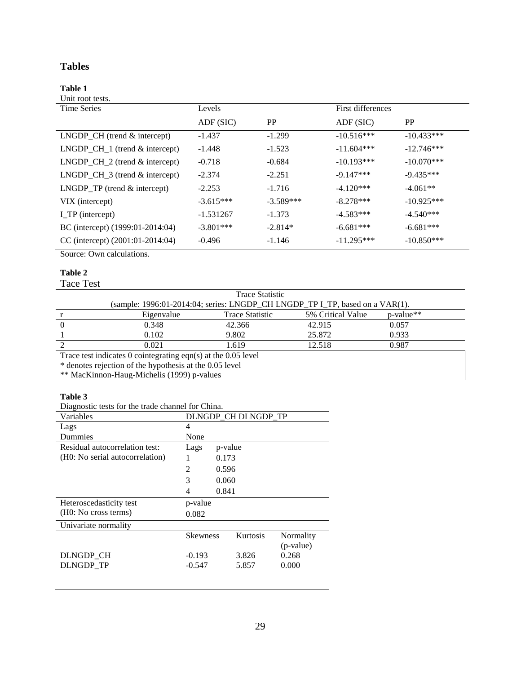# **Table 1**<br>*Linit root*

| Unit root tests.                     |             |             |                   |              |
|--------------------------------------|-------------|-------------|-------------------|--------------|
| <b>Time Series</b>                   | Levels      |             | First differences |              |
|                                      | ADF (SIC)   | <b>PP</b>   | ADF (SIC)         | <b>PP</b>    |
| $LNGDP_CH$ (trend $&$ intercept)     | $-1.437$    | $-1.299$    | $-10.516***$      | $-10.433***$ |
| $LNGDP\_CH_1$ (trend $&$ intercept)  | $-1.448$    | $-1.523$    | $-11.604***$      | $-12.746***$ |
| $LNGDP\_CH_2$ (trend $&$ intercept)  | $-0.718$    | $-0.684$    | $-10.193***$      | $-10.070***$ |
| $LNGDP\_CH\_3$ (trend $&$ intercept) | $-2.374$    | $-2.251$    | $-9.147***$       | $-9.435***$  |
| $LNGDP_TP$ (trend $&$ intercept)     | $-2.253$    | $-1.716$    | $-4.120***$       | $-4.061**$   |
| VIX (intercept)                      | $-3.615***$ | $-3.589***$ | $-8.278***$       | $-10.925***$ |
| $I_TP$ (intercept)                   | $-1.531267$ | $-1.373$    | $-4.583***$       | $-4.540***$  |
| BC (intercept) (1999:01-2014:04)     | $-3.801***$ | $-2.814*$   | $-6.681***$       | $-6.681***$  |
| CC (intercept) (2001:01-2014:04)     | $-0.496$    | $-1.146$    | $-11.295***$      | $-10.850***$ |

Source: Own calculations.

# **Table 2**

# Tace Test

| <b>Trace Statistic</b>                                                             |                        |                   |                          |  |  |  |  |
|------------------------------------------------------------------------------------|------------------------|-------------------|--------------------------|--|--|--|--|
| (sample: $1996:01-2014:04$ ; series: LNGDP CH LNGDP TP I TP, based on a $VAR(1)$ . |                        |                   |                          |  |  |  |  |
| Eigenvalue                                                                         | <b>Trace Statistic</b> | 5% Critical Value | $p$ -value <sup>**</sup> |  |  |  |  |
| 0.348                                                                              | 42.366                 | 42.915            | 0.057                    |  |  |  |  |
| 0.102                                                                              | 9.802                  | 25.872            | 0.933                    |  |  |  |  |
| 0.021                                                                              | .619                   | 12.518            | 0.987                    |  |  |  |  |

Trace test indicates 0 cointegrating eqn(s) at the 0.05 level

\* denotes rejection of the hypothesis at the 0.05 level

\*\* MacKinnon-Haug-Michelis (1999) p-values

### **Table 3**

Diagnostic tests for the trade channel for China.

| 4               |          |                                                                    |
|-----------------|----------|--------------------------------------------------------------------|
| None            |          |                                                                    |
| Lags            |          |                                                                    |
|                 |          |                                                                    |
| 2               |          |                                                                    |
| 3               |          |                                                                    |
| 4               |          |                                                                    |
| p-value         |          |                                                                    |
| 0.082           |          |                                                                    |
|                 |          |                                                                    |
| <b>Skewness</b> | Kurtosis | Normality                                                          |
|                 |          | (p-value)                                                          |
| $-0.193$        | 3.826    | 0.268                                                              |
| $-0.547$        | 5.857    | 0.000                                                              |
|                 |          | DLNGDP_CH DLNGDP_TP<br>p-value<br>0.173<br>0.596<br>0.060<br>0.841 |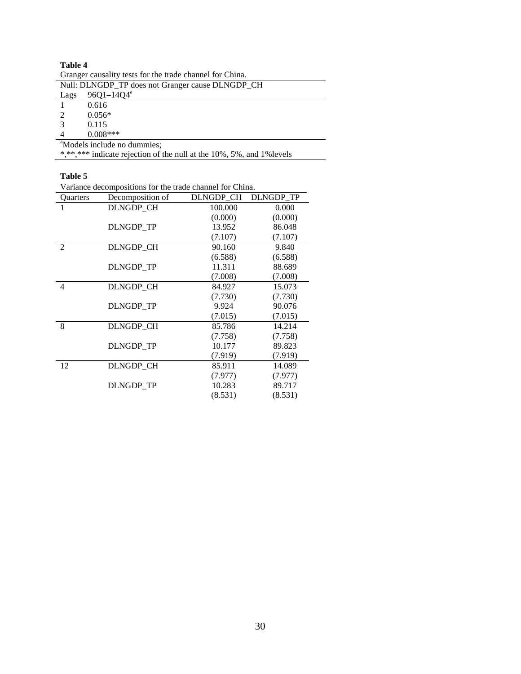Granger causality tests for the trade channel for China. Null: DLNGDP\_TP does not Granger cause DLNGDP\_CH Lags  $96Q1-14Q4^a$ <br>1 0.616  $\frac{1}{2}$  0.616  $\begin{array}{cc} 2 & 0.056* \\ 3 & 0.115 \end{array}$  $\begin{array}{cc} 3 & 0.115 \\ 4 & 0.008 \end{array}$  $0.008***$ <sup>a</sup>Models include no dummies; \*,\*\*,\*\*\* indicate rejection of the null at the 10%, 5%, and 1%levels

### **Table 5**

| Variance decompositions for the trade channel for China. |  |  |
|----------------------------------------------------------|--|--|
|                                                          |  |  |

| Quarters       | Decomposition of | DLNGDP_CH DLNGDP_TP |         |
|----------------|------------------|---------------------|---------|
| 1              | <b>DLNGDP CH</b> | 100.000             | 0.000   |
|                |                  | (0.000)             | (0.000) |
|                | <b>DLNGDP TP</b> | 13.952              | 86.048  |
|                |                  | (7.107)             | (7.107) |
| 2              | DLNGDP CH        | 90.160              | 9.840   |
|                |                  | (6.588)             | (6.588) |
|                | DLNGDP_TP        | 11.311              | 88.689  |
|                |                  | (7.008)             | (7.008) |
| $\overline{4}$ | DLNGDP_CH        | 84.927              | 15.073  |
|                |                  | (7.730)             | (7.730) |
|                | <b>DLNGDP TP</b> | 9.924               | 90.076  |
|                |                  | (7.015)             | (7.015) |
| 8              | DLNGDP CH        | 85.786              | 14.214  |
|                |                  | (7.758)             | (7.758) |
|                | DLNGDP_TP        | 10.177              | 89.823  |
|                |                  | (7.919)             | (7.919) |
| 12             | DLNGDP CH        | 85.911              | 14.089  |
|                |                  | (7.977)             | (7.977) |
|                | DLNGDP_TP        | 10.283              | 89.717  |
|                |                  | (8.531)             | (8.531) |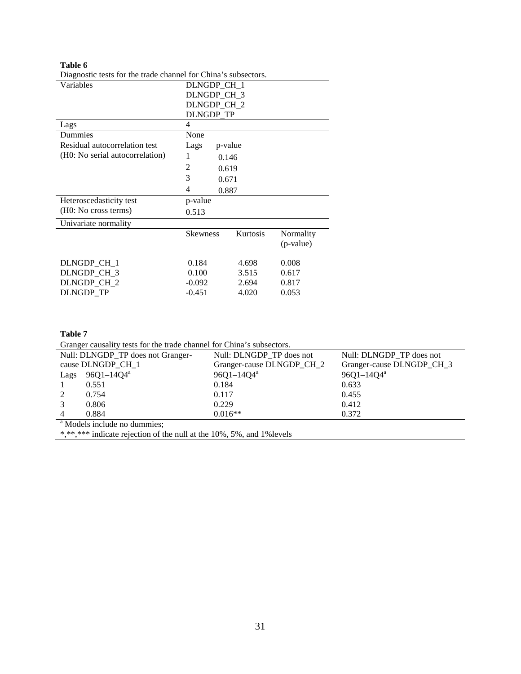| Diagnostic tests for the trade channel for China's subsectors. |                 |         |          |           |  |  |
|----------------------------------------------------------------|-----------------|---------|----------|-----------|--|--|
| Variables                                                      | DLNGDP CH 1     |         |          |           |  |  |
|                                                                | DLNGDP_CH_3     |         |          |           |  |  |
|                                                                | DLNGDP CH 2     |         |          |           |  |  |
|                                                                | DLNGDP_TP       |         |          |           |  |  |
| Lags                                                           | $\overline{4}$  |         |          |           |  |  |
| Dummies                                                        | None            |         |          |           |  |  |
| Residual autocorrelation test                                  | Lags            | p-value |          |           |  |  |
| (H0: No serial autocorrelation)                                | 1               | 0.146   |          |           |  |  |
|                                                                | 2               | 0.619   |          |           |  |  |
|                                                                | 3               | 0.671   |          |           |  |  |
|                                                                | $\overline{4}$  | 0.887   |          |           |  |  |
| Heteroscedasticity test                                        | p-value         |         |          |           |  |  |
| (H0: No cross terms)                                           | 0.513           |         |          |           |  |  |
| Univariate normality                                           |                 |         |          |           |  |  |
|                                                                | <b>Skewness</b> |         | Kurtosis | Normality |  |  |
|                                                                |                 |         |          | (p-value) |  |  |
|                                                                |                 |         |          |           |  |  |
| DLNGDP_CH_1                                                    | 0.184           |         | 4.698    | 0.008     |  |  |
| DLNGDP_CH_3                                                    | 0.100           |         | 3.515    | 0.617     |  |  |
| DLNGDP_CH_2                                                    | $-0.092$        |         | 2.694    | 0.817     |  |  |
| <b>DLNGDP TP</b>                                               | $-0.451$        |         | 4.020    | 0.053     |  |  |
|                                                                |                 |         |          |           |  |  |

# **Table 7**

Granger causality tests for the trade channel for China's subsectors.

| Null: DLNGDP_TP does not Granger-       | Null: DLNGDP_TP does not  | Null: DLNGDP_TP does not  |
|-----------------------------------------|---------------------------|---------------------------|
| cause DLNGDP_CH_1                       | Granger-cause DLNGDP_CH_2 | Granger-cause DLNGDP_CH_3 |
| $96Q1 - 14Q4^a$<br>Lags                 | $96Q1 - 14Q4^a$           | $96Q1 - 14Q4^a$           |
| 0.551                                   | 0.184                     | 0.633                     |
| 0.754                                   | 0.117                     | 0.455                     |
| 0.806                                   | 0.229                     | 0.412                     |
| 0.884<br>$\overline{4}$                 | $0.016**$                 | 0.372                     |
| <sup>a</sup> Models include no dummies; |                           |                           |

\*,\*\*,\*\*\* indicate rejection of the null at the 10%, 5%, and 1%levels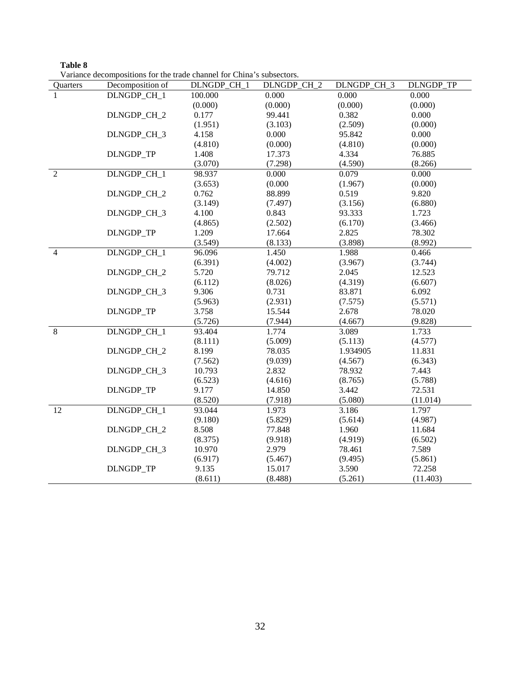| Table 8 |  |                                                                       |
|---------|--|-----------------------------------------------------------------------|
|         |  | Variance decompositions for the trade channel for China's subsectors. |

| <b>Ouarters</b> | variance accompositions for the trade enanner for China s subsectors.<br>Decomposition of | DLNGDP CH 1 | DLNGDP CH 2 | DLNGDP CH 3 | <b>DLNGDP TP</b> |
|-----------------|-------------------------------------------------------------------------------------------|-------------|-------------|-------------|------------------|
| $\mathbf{1}$    | DLNGDP_CH_1                                                                               | 100.000     | 0.000       | 0.000       | 0.000            |
|                 |                                                                                           | (0.000)     | (0.000)     | (0.000)     | (0.000)          |
|                 | DLNGDP_CH_2                                                                               | 0.177       | 99.441      | 0.382       | 0.000            |
|                 |                                                                                           | (1.951)     | (3.103)     | (2.509)     | (0.000)          |
|                 | DLNGDP_CH_3                                                                               | 4.158       | 0.000       | 95.842      | 0.000            |
|                 |                                                                                           | (4.810)     | (0.000)     | (4.810)     | (0.000)          |
|                 | DLNGDP_TP                                                                                 | 1.408       | 17.373      | 4.334       | 76.885           |
|                 |                                                                                           | (3.070)     | (7.298)     | (4.590)     | (8.266)          |
| $\overline{2}$  | DLNGDP_CH_1                                                                               | 98.937      | 0.000       | 0.079       | 0.000            |
|                 |                                                                                           | (3.653)     | (0.000)     | (1.967)     | (0.000)          |
|                 | DLNGDP_CH_2                                                                               | 0.762       | 88.899      | 0.519       | 9.820            |
|                 |                                                                                           | (3.149)     | (7.497)     | (3.156)     | (6.880)          |
|                 | DLNGDP_CH_3                                                                               | 4.100       | 0.843       | 93.333      | 1.723            |
|                 |                                                                                           | (4.865)     | (2.502)     | (6.170)     | (3.466)          |
|                 | <b>DLNGDP TP</b>                                                                          | 1.209       | 17.664      | 2.825       | 78.302           |
|                 |                                                                                           | (3.549)     | (8.133)     | (3.898)     | (8.992)          |
| $\overline{4}$  | DLNGDP_CH_1                                                                               | 96.096      | 1.450       | 1.988       | 0.466            |
|                 |                                                                                           | (6.391)     | (4.002)     | (3.967)     | (3.744)          |
|                 | DLNGDP_CH_2                                                                               | 5.720       | 79.712      | 2.045       | 12.523           |
|                 |                                                                                           | (6.112)     | (8.026)     | (4.319)     | (6.607)          |
|                 | DLNGDP_CH_3                                                                               | 9.306       | 0.731       | 83.871      | 6.092            |
|                 |                                                                                           | (5.963)     | (2.931)     | (7.575)     | (5.571)          |
|                 | DLNGDP_TP                                                                                 | 3.758       | 15.544      | 2.678       | 78.020           |
|                 |                                                                                           | (5.726)     | (7.944)     | (4.667)     | (9.828)          |
| $\overline{8}$  | DLNGDP_CH_1                                                                               | 93.404      | 1.774       | 3.089       | 1.733            |
|                 |                                                                                           | (8.111)     | (5.009)     | (5.113)     | (4.577)          |
|                 | DLNGDP_CH_2                                                                               | 8.199       | 78.035      | 1.934905    | 11.831           |
|                 |                                                                                           | (7.562)     | (9.039)     | (4.567)     | (6.343)          |
|                 | DLNGDP CH 3                                                                               | 10.793      | 2.832       | 78.932      | 7.443            |
|                 |                                                                                           | (6.523)     | (4.616)     | (8.765)     | (5.788)          |
|                 | DLNGDP_TP                                                                                 | 9.177       | 14.850      | 3.442       | 72.531           |
|                 |                                                                                           | (8.520)     | (7.918)     | (5.080)     | (11.014)         |
| 12              | DLNGDP_CH_1                                                                               | 93.044      | 1.973       | 3.186       | 1.797            |
|                 |                                                                                           | (9.180)     | (5.829)     | (5.614)     | (4.987)          |
|                 | DLNGDP_CH_2                                                                               | 8.508       | 77.848      | 1.960       | 11.684           |
|                 |                                                                                           | (8.375)     | (9.918)     | (4.919)     | (6.502)          |
|                 | DLNGDP_CH_3                                                                               | 10.970      | 2.979       | 78.461      | 7.589            |
|                 |                                                                                           | (6.917)     | (5.467)     | (9.495)     | (5.861)          |
|                 | DLNGDP_TP                                                                                 | 9.135       | 15.017      | 3.590       | 72.258           |
|                 |                                                                                           | (8.611)     | (8.488)     | (5.261)     | (11.403)         |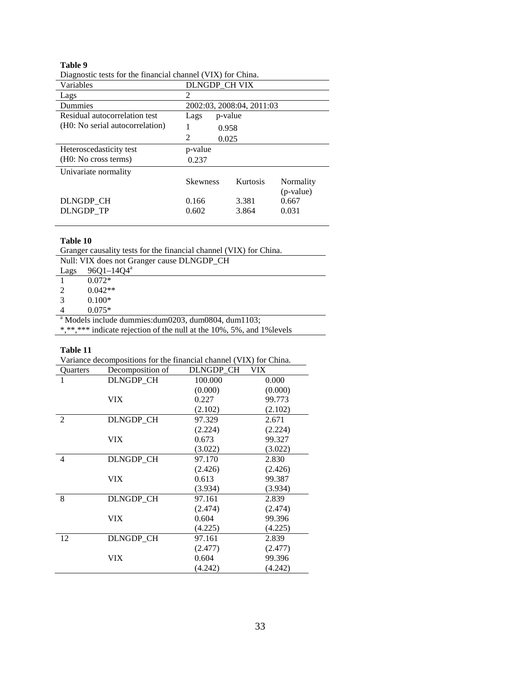| Diagnostic tests for the milancial channel ( $V(X)$ for China. |                 |                           |           |  |  |  |
|----------------------------------------------------------------|-----------------|---------------------------|-----------|--|--|--|
| Variables                                                      | DLNGDP_CH VIX   |                           |           |  |  |  |
| Lags                                                           | 2               |                           |           |  |  |  |
| Dummies                                                        |                 | 2002:03, 2008:04, 2011:03 |           |  |  |  |
| Residual autocorrelation test                                  | p-value<br>Lags |                           |           |  |  |  |
| (H0: No serial autocorrelation)                                | 0.958           |                           |           |  |  |  |
|                                                                | 0.025           |                           |           |  |  |  |
| Heteroscedasticity test                                        | p-value         |                           |           |  |  |  |
| (H0: No cross terms)                                           | 0.237           |                           |           |  |  |  |
| Univariate normality                                           |                 |                           |           |  |  |  |
|                                                                | <b>Skewness</b> | Kurtosis                  | Normality |  |  |  |
|                                                                |                 |                           | (p-value) |  |  |  |
| DLNGDP CH                                                      | 0.166           | 3.381                     | 0.667     |  |  |  |
| DLNGDP TP                                                      | 0.602           | 3.864                     | 0.031     |  |  |  |

Diagnostic tests for the financial channel (VIX) for China.

# **Table 10**

| Granger causality tests for the financial channel (VIX) for China.    |  |  |  |  |  |
|-----------------------------------------------------------------------|--|--|--|--|--|
| Null: VIX does not Granger cause DLNGDP_CH                            |  |  |  |  |  |
| $96Q1 - 14Q4^a$<br>Lags                                               |  |  |  |  |  |
| $0.072*$                                                              |  |  |  |  |  |
| $0.042**$<br>$\mathfrak{D}$                                           |  |  |  |  |  |
| 3<br>$0.100*$                                                         |  |  |  |  |  |
| $0.075*$<br>4                                                         |  |  |  |  |  |
| <sup>a</sup> Models include dummies: dum0203, dum0804, dum1103;       |  |  |  |  |  |
| *,**,*** indicate rejection of the null at the 10%, 5%, and 1% levels |  |  |  |  |  |
|                                                                       |  |  |  |  |  |

# **Table 11**

| Variance decompositions for the financial channel (VIX) for China. |  |
|--------------------------------------------------------------------|--|
|--------------------------------------------------------------------|--|

| <b>Ouarters</b> | Decomposition of | DLNGDP_CH | VIX     |
|-----------------|------------------|-----------|---------|
| 1               | DLNGDP CH        | 100.000   | 0.000   |
|                 |                  | (0.000)   | (0.000) |
|                 | VIX              | 0.227     | 99.773  |
|                 |                  | (2.102)   | (2.102) |
| $\overline{2}$  | DLNGDP_CH        | 97.329    | 2.671   |
|                 |                  | (2.224)   | (2.224) |
|                 | VIX              | 0.673     | 99.327  |
|                 |                  | (3.022)   | (3.022) |
| $\overline{4}$  | DLNGDP CH        | 97.170    | 2.830   |
|                 |                  | (2.426)   | (2.426) |
|                 | VIX              | 0.613     | 99.387  |
|                 |                  | (3.934)   | (3.934) |
| 8               | DLNGDP_CH        | 97.161    | 2.839   |
|                 |                  | (2.474)   | (2.474) |
|                 | VIX              | 0.604     | 99.396  |
|                 |                  | (4.225)   | (4.225) |
| 12              | DLNGDP CH        | 97.161    | 2.839   |
|                 |                  | (2.477)   | (2.477) |
|                 | VIX              | 0.604     | 99.396  |
|                 |                  | (4.242)   | (4.242) |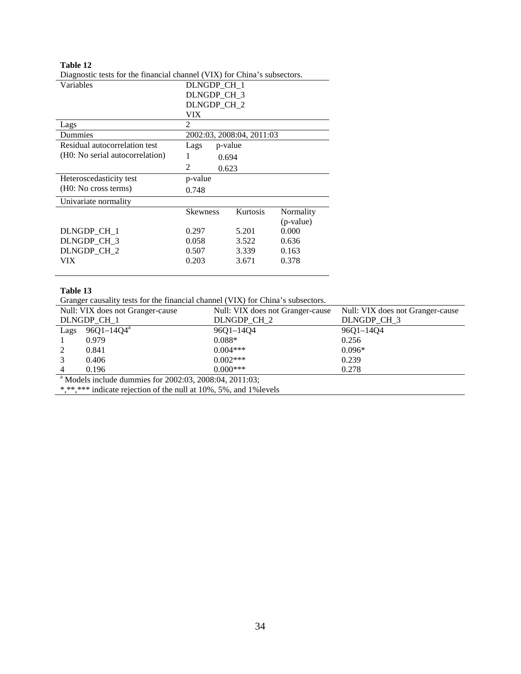| Diagnostic tests for the financial channel (VIX) for China's subsectors. |                 |                           |           |  |
|--------------------------------------------------------------------------|-----------------|---------------------------|-----------|--|
| Variables                                                                | DLNGDP CH 1     |                           |           |  |
|                                                                          | DLNGDP CH 3     |                           |           |  |
|                                                                          | DLNGDP_CH_2     |                           |           |  |
|                                                                          | VIX             |                           |           |  |
| Lags                                                                     | 2               |                           |           |  |
| Dummies                                                                  |                 | 2002:03, 2008:04, 2011:03 |           |  |
| Residual autocorrelation test                                            | Lags            | p-value                   |           |  |
| (H0: No serial autocorrelation)                                          | 1               | 0.694                     |           |  |
|                                                                          | 2               | 0.623                     |           |  |
| Heteroscedasticity test                                                  | p-value         |                           |           |  |
| (H0: No cross terms)                                                     | 0.748           |                           |           |  |
| Univariate normality                                                     |                 |                           |           |  |
|                                                                          | <b>Skewness</b> | Kurtosis                  | Normality |  |
|                                                                          |                 |                           | (p-value) |  |
| DLNGDP_CH_1                                                              | 0.297           | 5.201                     | 0.000     |  |
| DLNGDP_CH_3                                                              | 0.058           | 3.522                     | 0.636     |  |
| DLNGDP_CH_2                                                              | 0.507           | 3.339                     | 0.163     |  |
| VIX                                                                      | 0.203           | 3.671                     | 0.378     |  |
|                                                                          |                 |                           |           |  |

# **Table 13**

Granger causality tests for the financial channel (VIX) for China's subsectors.

| Null: VIX does not Granger-cause                                 |            | Null: VIX does not Granger-cause | Null: VIX does not Granger-cause |  |
|------------------------------------------------------------------|------------|----------------------------------|----------------------------------|--|
| DLNGDP_CH_1                                                      |            | DLNGDP_CH_2                      | DLNGDP_CH_3                      |  |
| $96Q1 - 14Q4^a$<br>Lags                                          |            | 96Q1-14Q4                        | 96Q1-14Q4                        |  |
| 0.979                                                            | $0.088*$   |                                  | 0.256                            |  |
| 0.841                                                            | $0.004***$ |                                  | $0.096*$                         |  |
| 0.406                                                            | $0.002***$ |                                  | 0.239                            |  |
| 0.196                                                            | $0.000***$ |                                  | 0.278                            |  |
| $^{\circ}$ Models include dummies for 2002:03, 2008:04, 2011:03; |            |                                  |                                  |  |

\*,\*\*,\*\*\* indicate rejection of the null at 10%, 5%, and 1%levels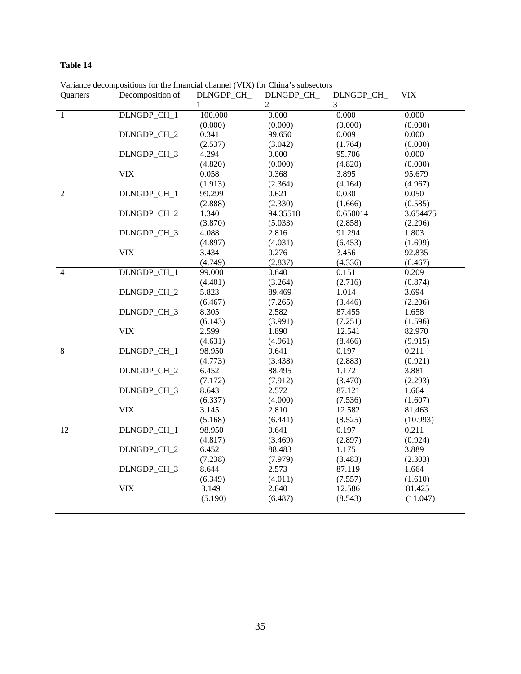Variance decompositions for the financial channel (VIX) for China's subsectors

| Quarters        | Decomposition of | ,,,,,,,,,,,<br>DLNGDP_CH_ | DLNGDP_CH_ | DLNGDP_CH_ | <b>VIX</b> |
|-----------------|------------------|---------------------------|------------|------------|------------|
|                 |                  |                           | 2          | 3          |            |
| $\mathbf{1}$    | DLNGDP_CH_1      | 100.000                   | 0.000      | 0.000      | 0.000      |
|                 |                  | (0.000)                   | (0.000)    | (0.000)    | (0.000)    |
|                 | DLNGDP_CH_2      | 0.341                     | 99.650     | 0.009      | 0.000      |
|                 |                  | (2.537)                   | (3.042)    | (1.764)    | (0.000)    |
|                 | DLNGDP_CH_3      | 4.294                     | 0.000      | 95.706     | 0.000      |
|                 |                  | (4.820)                   | (0.000)    | (4.820)    | (0.000)    |
|                 | <b>VIX</b>       | 0.058                     | 0.368      | 3.895      | 95.679     |
|                 |                  | (1.913)                   | (2.364)    | (4.164)    | (4.967)    |
| $\overline{2}$  | DLNGDP_CH_1      | 99.299                    | 0.621      | 0.030      | 0.050      |
|                 |                  | (2.888)                   | (2.330)    | (1.666)    | (0.585)    |
|                 | DLNGDP CH 2      | 1.340                     | 94.35518   | 0.650014   | 3.654475   |
|                 |                  | (3.870)                   | (5.033)    | (2.858)    | (2.296)    |
|                 | DLNGDP_CH_3      | 4.088                     | 2.816      | 91.294     | 1.803      |
|                 |                  | (4.897)                   | (4.031)    | (6.453)    | (1.699)    |
|                 | <b>VIX</b>       | 3.434                     | 0.276      | 3.456      | 92.835     |
|                 |                  | (4.749)                   | (2.837)    | (4.336)    | (6.467)    |
| $\overline{4}$  | DLNGDP_CH_1      | 99.000                    | 0.640      | 0.151      | 0.209      |
|                 |                  | (4.401)                   | (3.264)    | (2.716)    | (0.874)    |
|                 | DLNGDP_CH_2      | 5.823                     | 89.469     | 1.014      | 3.694      |
|                 |                  | (6.467)                   | (7.265)    | (3.446)    | (2.206)    |
|                 | DLNGDP_CH_3      | 8.305                     | 2.582      | 87.455     | 1.658      |
|                 |                  | (6.143)                   | (3.991)    | (7.251)    | (1.596)    |
|                 | <b>VIX</b>       | 2.599                     | 1.890      | 12.541     | 82.970     |
|                 |                  | (4.631)                   | (4.961)    | (8.466)    | (9.915)    |
| $\overline{8}$  | DLNGDP_CH_1      | 98.950                    | 0.641      | 0.197      | 0.211      |
|                 |                  | (4.773)                   | (3.438)    | (2.883)    | (0.921)    |
|                 | DLNGDP_CH_2      | 6.452                     | 88.495     | 1.172      | 3.881      |
|                 |                  | (7.172)                   | (7.912)    | (3.470)    | (2.293)    |
|                 | DLNGDP_CH_3      | 8.643                     | 2.572      | 87.121     | 1.664      |
|                 |                  | (6.337)                   | (4.000)    | (7.536)    | (1.607)    |
|                 | <b>VIX</b>       | 3.145                     | 2.810      | 12.582     | 81.463     |
|                 |                  | (5.168)                   | (6.441)    | (8.525)    | (10.993)   |
| $\overline{12}$ | DLNGDP_CH_1      | 98.950                    | 0.641      | 0.197      | 0.211      |
|                 |                  | (4.817)                   | (3.469)    | (2.897)    | (0.924)    |
|                 | DLNGDP_CH_2      | 6.452                     | 88.483     | 1.175      | 3.889      |
|                 |                  | (7.238)                   | (7.979)    | (3.483)    | (2.303)    |
|                 | DLNGDP_CH_3      | 8.644                     | 2.573      | 87.119     | 1.664      |
|                 |                  | (6.349)                   | (4.011)    | (7.557)    | (1.610)    |
|                 | <b>VIX</b>       | 3.149                     | 2.840      | 12.586     | 81.425     |
|                 |                  | (5.190)                   | (6.487)    | (8.543)    | (11.047)   |
|                 |                  |                           |            |            |            |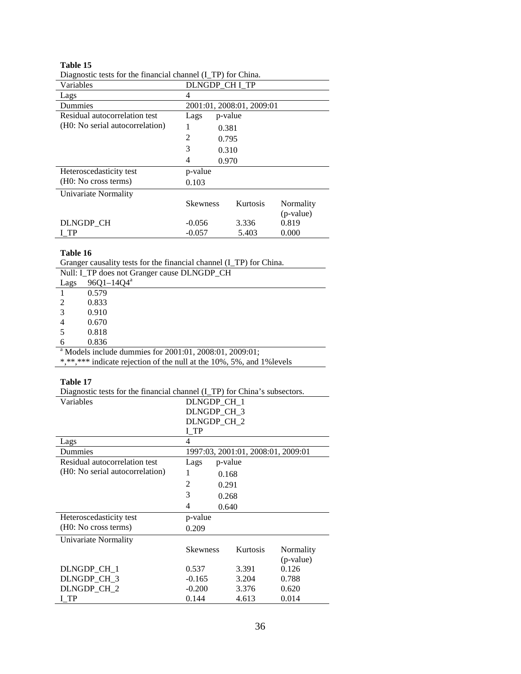| Diagnostic tests for the financial channel (I_TP) for China. |                           |                |                        |  |
|--------------------------------------------------------------|---------------------------|----------------|------------------------|--|
| Variables                                                    |                           | DLNGDP_CH I_TP |                        |  |
| Lags                                                         | 4                         |                |                        |  |
| Dummies                                                      | 2001:01, 2008:01, 2009:01 |                |                        |  |
| Residual autocorrelation test                                | Lags<br>p-value           |                |                        |  |
| (H0: No serial autocorrelation)                              | 0.381                     |                |                        |  |
|                                                              | 2                         | 0.795          |                        |  |
|                                                              | 3                         | 0.310          |                        |  |
|                                                              | 4                         | 0.970          |                        |  |
| Heteroscedasticity test                                      | p-value                   |                |                        |  |
| (H0: No cross terms)                                         | 0.103                     |                |                        |  |
| Univariate Normality                                         |                           |                |                        |  |
|                                                              | <b>Skewness</b>           | Kurtosis       | Normality<br>(p-value) |  |
| DLNGDP CH                                                    | $-0.056$                  | 3.336          | 0.819                  |  |
| I TP                                                         | $-0.057$                  | 5.403          | 0.000                  |  |

| Table 16 |  |
|----------|--|
|----------|--|

Granger causality tests for the financial channel (I\_TP) for China.

|                | Null: I_TP does not Granger cause DLNGDP_CH                           |
|----------------|-----------------------------------------------------------------------|
| Lags           | $96Q1 - 14Q4^a$                                                       |
|                | 0.579                                                                 |
| $\overline{2}$ | 0.833                                                                 |
| 3              | 0.910                                                                 |
| 4              | 0.670                                                                 |
| 5              | 0.818                                                                 |
| 6              | 0.836                                                                 |
|                | $^a$ Models include dummies for 2001:01, 2008:01, 2009:01;            |
|                | *,**,*** indicate rejection of the null at the 10%, 5%, and 1% levels |

### **Table 17**

| Diagnostic tests for the financial channel (I_TP) for China's subsectors. |                 |                                    |           |  |  |
|---------------------------------------------------------------------------|-----------------|------------------------------------|-----------|--|--|
| Variables                                                                 | DLNGDP_CH_1     |                                    |           |  |  |
|                                                                           | DLNGDP CH 3     |                                    |           |  |  |
|                                                                           | DLNGDP_CH_2     |                                    |           |  |  |
|                                                                           | I TP            |                                    |           |  |  |
| Lags                                                                      | $\overline{4}$  |                                    |           |  |  |
| Dummies                                                                   |                 | 1997:03, 2001:01, 2008:01, 2009:01 |           |  |  |
| Residual autocorrelation test                                             | Lags            | p-value                            |           |  |  |
| (H0: No serial autocorrelation)                                           | 1               | 0.168                              |           |  |  |
|                                                                           | 2               | 0.291                              |           |  |  |
|                                                                           | 3               | 0.268                              |           |  |  |
|                                                                           | $\overline{4}$  | 0.640                              |           |  |  |
| Heteroscedasticity test                                                   | p-value         |                                    |           |  |  |
| (H0: No cross terms)                                                      | 0.209           |                                    |           |  |  |
| Univariate Normality                                                      |                 |                                    |           |  |  |
|                                                                           | <b>Skewness</b> | Kurtosis                           | Normality |  |  |
|                                                                           |                 |                                    | (p-value) |  |  |
| DLNGDP_CH_1                                                               | 0.537           | 3.391                              | 0.126     |  |  |
| DLNGDP_CH_3                                                               | $-0.165$        | 3.204                              | 0.788     |  |  |
| DLNGDP_CH_2                                                               | $-0.200$        | 3.376                              | 0.620     |  |  |
| I TP                                                                      | 0.144           | 4.613                              | 0.014     |  |  |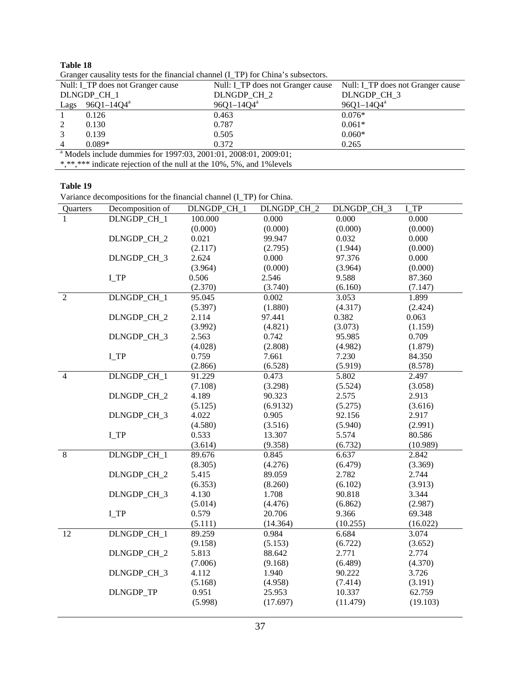|                | Null: I_TP does not Granger cause                                           | Null: I_TP does not Granger cause | Null: I_TP does not Granger cause |
|----------------|-----------------------------------------------------------------------------|-----------------------------------|-----------------------------------|
|                | DLNGDP_CH_1                                                                 | DLNGDP_CH_2                       | DLNGDP_CH_3                       |
| Lags           | $96Q1 - 14Q4^a$                                                             | $96Q1 - 14Q4^a$                   | $96Q1 - 14Q4^a$                   |
|                | 0.126                                                                       | 0.463                             | $0.076*$                          |
| 2              | 0.130                                                                       | 0.787                             | $0.061*$                          |
|                | 0.139                                                                       | 0.505                             | $0.060*$                          |
| $\overline{4}$ | $0.089*$                                                                    | 0.372                             | 0.265                             |
|                | <sup>a</sup> Models include dummies for 1997:03, 2001:01, 2008:01, 2009:01; |                                   |                                   |

Granger causality tests for the financial channel (I\_TP) for China's subsectors.

\*,\*\*,\*\*\* indicate rejection of the null at the 10%, 5%, and 1%levels

# **Table 19**

Variance decompositions for the financial channel (I\_TP) for China.

| Quarters        | Decomposition of | DLNGDP_CH_1 | DLNGDP_CH_2 | DLNGDP_CH_3 | I_TP     |
|-----------------|------------------|-------------|-------------|-------------|----------|
| $\mathbf{1}$    | DLNGDP_CH_1      | 100.000     | 0.000       | 0.000       | 0.000    |
|                 |                  | (0.000)     | (0.000)     | (0.000)     | (0.000)  |
|                 | DLNGDP_CH_2      | 0.021       | 99.947      | 0.032       | 0.000    |
|                 |                  | (2.117)     | (2.795)     | (1.944)     | (0.000)  |
|                 | DLNGDP CH 3      | 2.624       | 0.000       | 97.376      | 0.000    |
|                 |                  | (3.964)     | (0.000)     | (3.964)     | (0.000)  |
|                 | <b>I_TP</b>      | 0.506       | 2.546       | 9.588       | 87.360   |
|                 |                  | (2.370)     | (3.740)     | (6.160)     | (7.147)  |
| $\overline{2}$  | DLNGDP_CH_1      | 95.045      | 0.002       | 3.053       | 1.899    |
|                 |                  | (5.397)     | (1.880)     | (4.317)     | (2.424)  |
|                 | DLNGDP_CH_2      | 2.114       | 97.441      | 0.382       | 0.063    |
|                 |                  | (3.992)     | (4.821)     | (3.073)     | (1.159)  |
|                 | DLNGDP_CH_3      | 2.563       | 0.742       | 95.985      | 0.709    |
|                 |                  | (4.028)     | (2.808)     | (4.982)     | (1.879)  |
|                 | <b>I_TP</b>      | 0.759       | 7.661       | 7.230       | 84.350   |
|                 |                  | (2.866)     | (6.528)     | (5.919)     | (8.578)  |
| $\overline{4}$  | DLNGDP_CH_1      | 91.229      | 0.473       | 5.802       | 2.497    |
|                 |                  | (7.108)     | (3.298)     | (5.524)     | (3.058)  |
|                 | DLNGDP_CH_2      | 4.189       | 90.323      | 2.575       | 2.913    |
|                 |                  | (5.125)     | (6.9132)    | (5.275)     | (3.616)  |
|                 | DLNGDP_CH_3      | 4.022       | 0.905       | 92.156      | 2.917    |
|                 |                  | (4.580)     | (3.516)     | (5.940)     | (2.991)  |
|                 | <b>I_TP</b>      | 0.533       | 13.307      | 5.574       | 80.586   |
|                 |                  | (3.614)     | (9.358)     | (6.732)     | (10.989) |
| $\overline{8}$  | DLNGDP_CH_1      | 89.676      | 0.845       | 6.637       | 2.842    |
|                 |                  | (8.305)     | (4.276)     | (6.479)     | (3.369)  |
|                 | DLNGDP_CH_2      | 5.415       | 89.059      | 2.782       | 2.744    |
|                 |                  | (6.353)     | (8.260)     | (6.102)     | (3.913)  |
|                 | DLNGDP_CH_3      | 4.130       | 1.708       | 90.818      | 3.344    |
|                 |                  | (5.014)     | (4.476)     | (6.862)     | (2.987)  |
|                 | <b>I_TP</b>      | 0.579       | 20.706      | 9.366       | 69.348   |
|                 |                  | (5.111)     | (14.364)    | (10.255)    | (16.022) |
| $\overline{12}$ | DLNGDP_CH_1      | 89.259      | 0.984       | 6.684       | 3.074    |
|                 |                  | (9.158)     | (5.153)     | (6.722)     | (3.652)  |
|                 | DLNGDP_CH_2      | 5.813       | 88.642      | 2.771       | 2.774    |
|                 |                  | (7.006)     | (9.168)     | (6.489)     | (4.370)  |
|                 | DLNGDP_CH_3      | 4.112       | 1.940       | 90.222      | 3.726    |
|                 |                  | (5.168)     | (4.958)     | (7.414)     | (3.191)  |
|                 | DLNGDP_TP        | 0.951       | 25.953      | 10.337      | 62.759   |
|                 |                  | (5.998)     | (17.697)    | (11.479)    | (19.103) |
|                 |                  |             |             |             |          |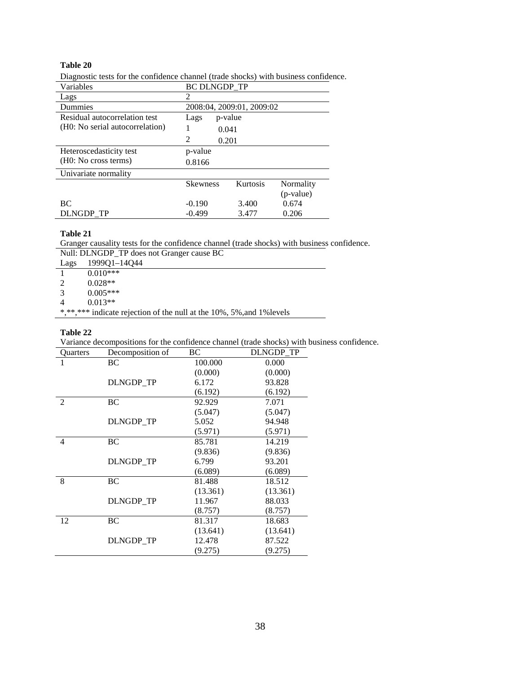| Variables                       | <b>BC DLNGDP TP</b>         |                           |  |  |
|---------------------------------|-----------------------------|---------------------------|--|--|
| Lags                            | $\mathcal{D}_{\mathcal{L}}$ |                           |  |  |
| Dummies                         |                             | 2008:04, 2009:01, 2009:02 |  |  |
| Residual autocorrelation test   | Lags                        | p-value                   |  |  |
| (H0: No serial autocorrelation) |                             | 0.041                     |  |  |
|                                 | 2                           | 0.201                     |  |  |
| Heteroscedasticity test         | p-value                     |                           |  |  |
| (H0: No cross terms)            | 0.8166                      |                           |  |  |
| Univariate normality            |                             |                           |  |  |
|                                 | <b>Skewness</b>             | Kurtosis<br>Normality     |  |  |
|                                 |                             | (p-value)                 |  |  |
| <b>BC</b>                       | $-0.190$                    | 0.674<br>3.400            |  |  |
| <b>DLNGDP TP</b>                | $-0.499$                    | 0.206<br>3.477            |  |  |

Diagnostic tests for the confidence channel (trade shocks) with business confidence.

### **Table 21**

Granger causality tests for the confidence channel (trade shocks) with business confidence.

| Null: DLNGDP_TP does not Granger cause BC |  |  |  |  |
|-------------------------------------------|--|--|--|--|
|-------------------------------------------|--|--|--|--|

| Lags          | 199901-14044                                                          |
|---------------|-----------------------------------------------------------------------|
|               | $0.010***$                                                            |
|               | $0.028**$                                                             |
| $\mathcal{R}$ | $0.005***$                                                            |
|               | $0.013**$                                                             |
|               | *,**,*** indicate rejection of the null at the 10%, 5%, and 1% levels |

# **Table 22**

Variance decompositions for the confidence channel (trade shocks) with business confidence.

| Ouarters | Decomposition of | BC       | DLNGDP_TP |
|----------|------------------|----------|-----------|
|          | BС               | 100.000  | 0.000     |
|          |                  | (0.000)  | (0.000)   |
|          | DLNGDP_TP        | 6.172    | 93.828    |
|          |                  | (6.192)  | (6.192)   |
| 2        | BC               | 92.929   | 7.071     |
|          |                  | (5.047)  | (5.047)   |
|          | <b>DLNGDP TP</b> | 5.052    | 94.948    |
|          |                  | (5.971)  | (5.971)   |
| 4        | BC               | 85.781   | 14.219    |
|          |                  | (9.836)  | (9.836)   |
|          | DLNGDP_TP        | 6.799    | 93.201    |
|          |                  | (6.089)  | (6.089)   |
| 8        | BC               | 81.488   | 18.512    |
|          |                  | (13.361) | (13.361)  |
|          | DLNGDP_TP        | 11.967   | 88.033    |
|          |                  | (8.757)  | (8.757)   |
| 12       | BC               | 81.317   | 18.683    |
|          |                  | (13.641) | (13.641)  |
|          | DLNGDP_TP        | 12.478   | 87.522    |
|          |                  | (9.275)  | (9.275)   |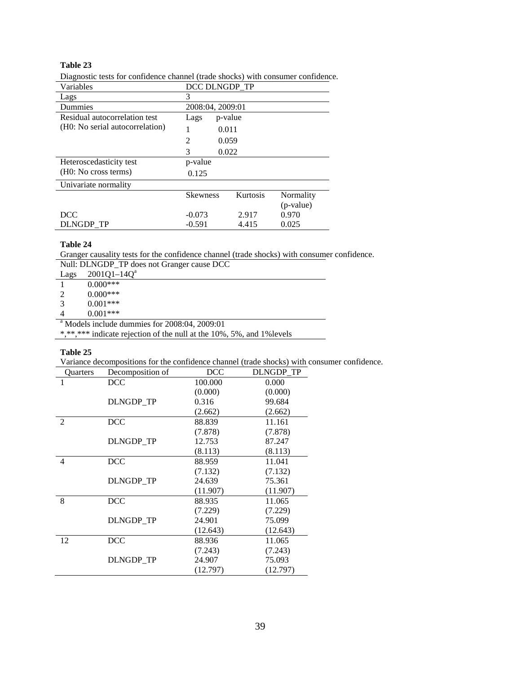| Variables                       |                 | DCC DLNGDP TP    |           |
|---------------------------------|-----------------|------------------|-----------|
| Lags                            | 3               |                  |           |
| Dummies                         |                 | 2008:04, 2009:01 |           |
| Residual autocorrelation test   | Lags            | p-value          |           |
| (H0: No serial autocorrelation) |                 | 0.011            |           |
|                                 | 2               | 0.059            |           |
|                                 | 3               | 0.022            |           |
| Heteroscedasticity test         | p-value         |                  |           |
| (H0: No cross terms)            | 0.125           |                  |           |
| Univariate normality            |                 |                  |           |
|                                 | <b>Skewness</b> | Kurtosis         | Normality |
|                                 |                 |                  | (p-value) |
| <b>DCC</b>                      | $-0.073$        | 2.917            | 0.970     |
| <b>DLNGDP TP</b>                | $-0.591$        | 4.415            | 0.025     |

Diagnostic tests for confidence channel (trade shocks) with consumer confidence.

### **Table 24**

Granger causality tests for the confidence channel (trade shocks) with consumer confidence.

| Null: DLNGDP_TP does not Granger cause DCC |  |  |  |
|--------------------------------------------|--|--|--|
|--------------------------------------------|--|--|--|

| Lags | $200101 - 140^a$                                         |
|------|----------------------------------------------------------|
|      | $0.000***$                                               |
|      | $0.000***$                                               |
|      | $0.001***$                                               |
|      | $0.001***$                                               |
|      | <sup>a</sup> Models include dummies for 2008:04, 2009:01 |
|      |                                                          |

\*,\*\*,\*\*\* indicate rejection of the null at the 10%, 5%, and 1%levels

#### **Table 25**

Variance decompositions for the confidence channel (trade shocks) with consumer confidence.

| <b>Ouarters</b> | Decomposition of | <b>DCC</b> | DLNGDP_TP |
|-----------------|------------------|------------|-----------|
|                 | DCC.             | 100.000    | 0.000     |
|                 |                  | (0.000)    | (0.000)   |
|                 | DLNGDP_TP        | 0.316      | 99.684    |
|                 |                  | (2.662)    | (2.662)   |
| 2               | <b>DCC</b>       | 88.839     | 11.161    |
|                 |                  | (7.878)    | (7.878)   |
|                 | <b>DLNGDP TP</b> | 12.753     | 87.247    |
|                 |                  | (8.113)    | (8.113)   |
| 4               | <b>DCC</b>       | 88.959     | 11.041    |
|                 |                  | (7.132)    | (7.132)   |
|                 | DLNGDP_TP        | 24.639     | 75.361    |
|                 |                  | (11.907)   | (11.907)  |
| 8               | <b>DCC</b>       | 88.935     | 11.065    |
|                 |                  | (7.229)    | (7.229)   |
|                 | DLNGDP_TP        | 24.901     | 75.099    |
|                 |                  | (12.643)   | (12.643)  |
| 12              | <b>DCC</b>       | 88.936     | 11.065    |
|                 |                  | (7.243)    | (7.243)   |
|                 | DLNGDP_TP        | 24.907     | 75.093    |
|                 |                  | (12.797)   | (12.797)  |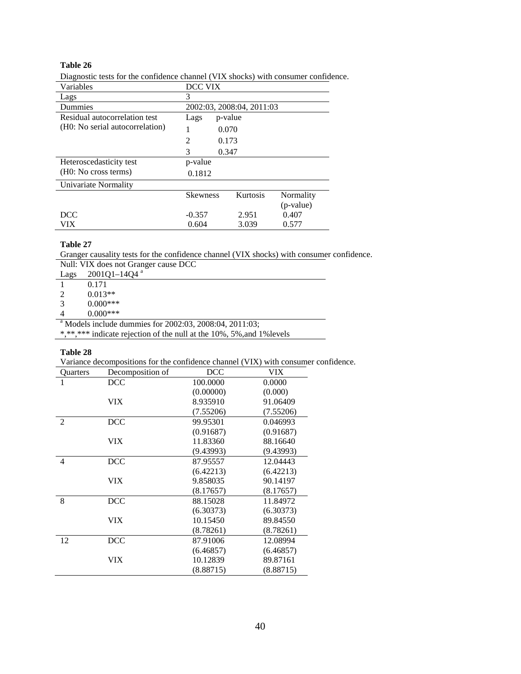| Variables                       | DCC VIX         |                           |
|---------------------------------|-----------------|---------------------------|
| Lags                            | 3               |                           |
| Dummies                         |                 | 2002:03, 2008:04, 2011:03 |
| Residual autocorrelation test   | Lags            | p-value                   |
| (H0: No serial autocorrelation) |                 | 0.070                     |
|                                 | 2               | 0.173                     |
|                                 | 3               | 0.347                     |
| Heteroscedasticity test         | p-value         |                           |
| (H0: No cross terms)            | 0.1812          |                           |
| Univariate Normality            |                 |                           |
|                                 | <b>Skewness</b> | Kurtosis<br>Normality     |
|                                 |                 | (p-value)                 |
| DCC                             | $-0.357$        | 2.951<br>0.407            |
| VIX                             | 0.604           | 3.039<br>0.577            |

Diagnostic tests for the confidence channel (VIX shocks) with consumer confidence.

#### **Table 27**

Granger causality tests for the confidence channel (VIX shocks) with consumer confidence.

|      | Null: VIX does not Granger cause DCC |
|------|--------------------------------------|
| Lags | $2001Q1 - 14Q4$ <sup>a</sup>         |

| $-$              | -----      |
|------------------|------------|
| ı                | 0.171      |
| 2                | $0.013**$  |
| 3                | $0.000***$ |
| $\boldsymbol{A}$ | ስ ስስስቀቀቀ   |

4 0.000\*\*\*

<sup>a</sup> Models include dummies for 2002:03, 2008:04, 2011:03;

\*,\*\*,\*\*\* indicate rejection of the null at the 10%, 5%, and 1% levels

#### **Table 28**

Variance decompositions for the confidence channel (VIX) with consumer confidence.

| Ouarters       | Decomposition of | <b>DCC</b> | VIX       |
|----------------|------------------|------------|-----------|
|                | DCC              | 100.0000   | 0.0000    |
|                |                  | (0.00000)  | (0.000)   |
|                | <b>VIX</b>       | 8.935910   | 91.06409  |
|                |                  | (7.55206)  | (7.55206) |
| 2              | <b>DCC</b>       | 99.95301   | 0.046993  |
|                |                  | (0.91687)  | (0.91687) |
|                | <b>VIX</b>       | 11.83360   | 88.16640  |
|                |                  | (9.43993)  | (9.43993) |
| $\overline{4}$ | <b>DCC</b>       | 87.95557   | 12.04443  |
|                |                  | (6.42213)  | (6.42213) |
|                | VIX              | 9.858035   | 90.14197  |
|                |                  | (8.17657)  | (8.17657) |
| 8              | <b>DCC</b>       | 88.15028   | 11.84972  |
|                |                  | (6.30373)  | (6.30373) |
|                | VIX              | 10.15450   | 89.84550  |
|                |                  | (8.78261)  | (8.78261) |
| 12             | <b>DCC</b>       | 87.91006   | 12.08994  |
|                |                  | (6.46857)  | (6.46857) |
|                | VIX              | 10.12839   | 89.87161  |
|                |                  | (8.88715)  | (8.88715) |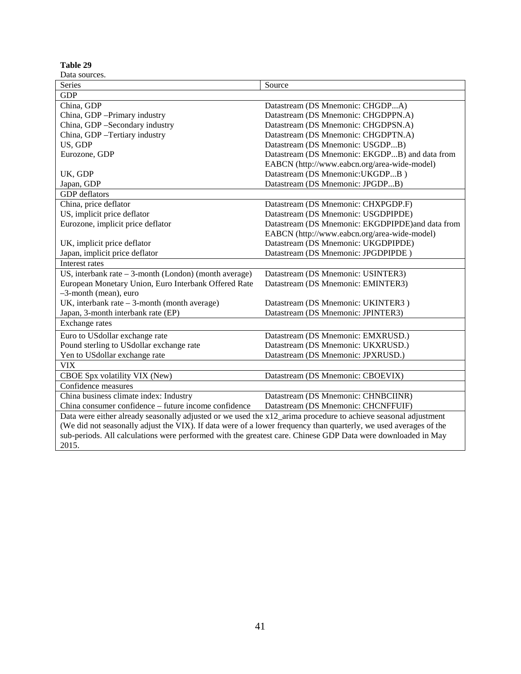| Data sources.                                                                                                     |                                                   |
|-------------------------------------------------------------------------------------------------------------------|---------------------------------------------------|
| <b>Series</b>                                                                                                     | Source                                            |
| <b>GDP</b>                                                                                                        |                                                   |
| China, GDP                                                                                                        | Datastream (DS Mnemonic: CHGDPA)                  |
| China, GDP -Primary industry                                                                                      | Datastream (DS Mnemonic: CHGDPPN.A)               |
| China, GDP -Secondary industry                                                                                    | Datastream (DS Mnemonic: CHGDPSN.A)               |
| China, GDP - Tertiary industry                                                                                    | Datastream (DS Mnemonic: CHGDPTN.A)               |
| US, GDP                                                                                                           | Datastream (DS Mnemonic: USGDPB)                  |
| Eurozone, GDP                                                                                                     | Datastream (DS Mnemonic: EKGDPB) and data from    |
|                                                                                                                   | EABCN (http://www.eabcn.org/area-wide-model)      |
| UK, GDP                                                                                                           | Datastream (DS Mnemonic:UKGDPB)                   |
| Japan, GDP                                                                                                        | Datastream (DS Mnemonic: JPGDPB)                  |
| GDP deflators                                                                                                     |                                                   |
| China, price deflator                                                                                             | Datastream (DS Mnemonic: CHXPGDP.F)               |
| US, implicit price deflator                                                                                       | Datastream (DS Mnemonic: USGDPIPDE)               |
| Eurozone, implicit price deflator                                                                                 | Datastream (DS Mnemonic: EKGDPIPDE) and data from |
|                                                                                                                   | EABCN (http://www.eabcn.org/area-wide-model)      |
| UK, implicit price deflator                                                                                       | Datastream (DS Mnemonic: UKGDPIPDE)               |
| Japan, implicit price deflator                                                                                    | Datastream (DS Mnemonic: JPGDPIPDE)               |
| Interest rates                                                                                                    |                                                   |
| US, interbank rate $-3$ -month (London) (month average)                                                           | Datastream (DS Mnemonic: USINTER3)                |
| European Monetary Union, Euro Interbank Offered Rate                                                              | Datastream (DS Mnemonic: EMINTER3)                |
| -3-month (mean), euro                                                                                             |                                                   |
| UK, interbank rate $-3$ -month (month average)                                                                    | Datastream (DS Mnemonic: UKINTER3)                |
| Japan, 3-month interbank rate (EP)                                                                                | Datastream (DS Mnemonic: JPINTER3)                |
| Exchange rates                                                                                                    |                                                   |
| Euro to USdollar exchange rate                                                                                    | Datastream (DS Mnemonic: EMXRUSD.)                |
| Pound sterling to USdollar exchange rate                                                                          | Datastream (DS Mnemonic: UKXRUSD.)                |
| Yen to USdollar exchange rate                                                                                     | Datastream (DS Mnemonic: JPXRUSD.)                |
| <b>VIX</b>                                                                                                        |                                                   |
| CBOE Spx volatility VIX (New)                                                                                     | Datastream (DS Mnemonic: CBOEVIX)                 |
| Confidence measures                                                                                               |                                                   |
| China business climate index: Industry                                                                            | Datastream (DS Mnemonic: CHNBCIINR)               |
| China consumer confidence – future income confidence                                                              | Datastream (DS Mnemonic: CHCNFFUIF)               |
| Data were either already seasonally adjusted or we used the x12_arima procedure to achieve seasonal adjustment    |                                                   |
| (We did not seasonally adjust the VIX). If data were of a lower frequency than quarterly, we used averages of the |                                                   |
| sub-periods. All calculations were performed with the greatest care. Chinese GDP Data were downloaded in May      |                                                   |
| 2015.                                                                                                             |                                                   |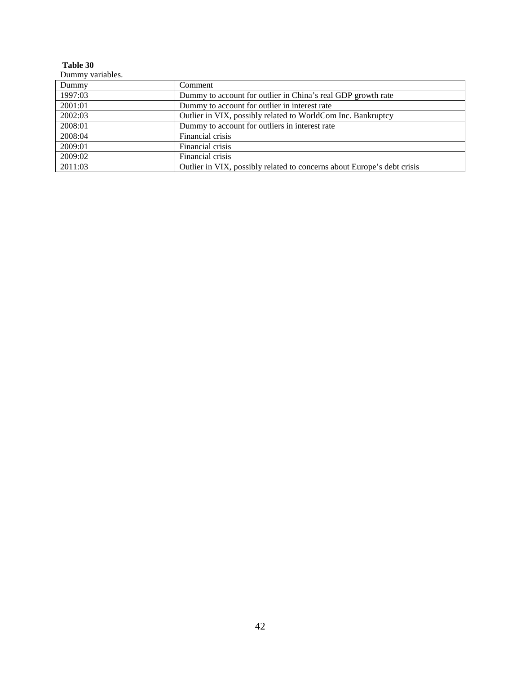Dummy variables.

| Dummy   | Comment                                                                 |
|---------|-------------------------------------------------------------------------|
| 1997:03 | Dummy to account for outlier in China's real GDP growth rate            |
| 2001:01 | Dummy to account for outlier in interest rate                           |
| 2002:03 | Outlier in VIX, possibly related to WorldCom Inc. Bankruptcy            |
| 2008:01 | Dummy to account for outliers in interest rate                          |
| 2008:04 | Financial crisis                                                        |
| 2009:01 | Financial crisis                                                        |
| 2009:02 | Financial crisis                                                        |
| 2011:03 | Outlier in VIX, possibly related to concerns about Europe's debt crisis |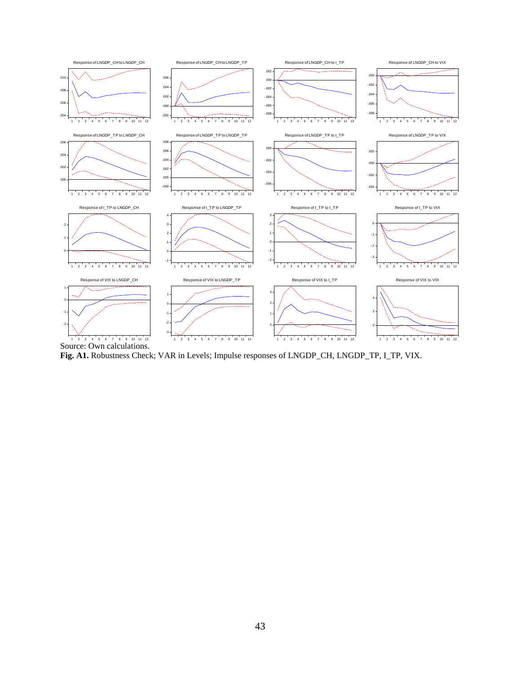

**Fig. A1.** Robustness Check; VAR in Levels; Impulse responses of LNGDP\_CH, LNGDP\_TP, I\_TP, VIX.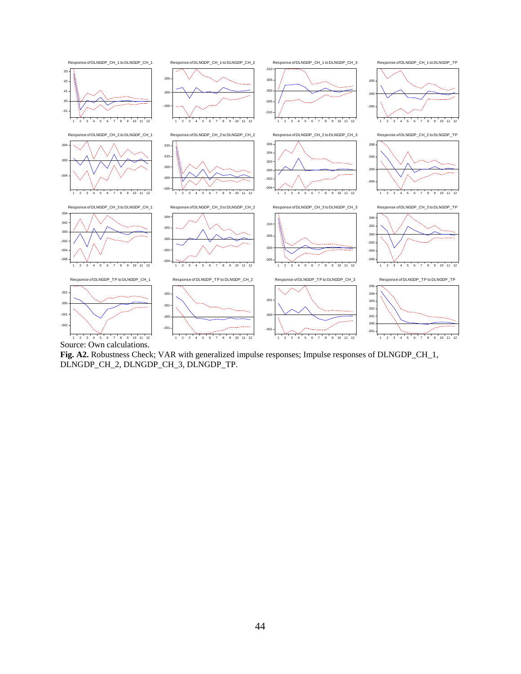

Source: Own calculations.

**Fig. A2.** Robustness Check; VAR with generalized impulse responses; Impulse responses of DLNGDP\_CH\_1, DLNGDP\_CH\_2, DLNGDP\_CH\_3, DLNGDP\_TP.